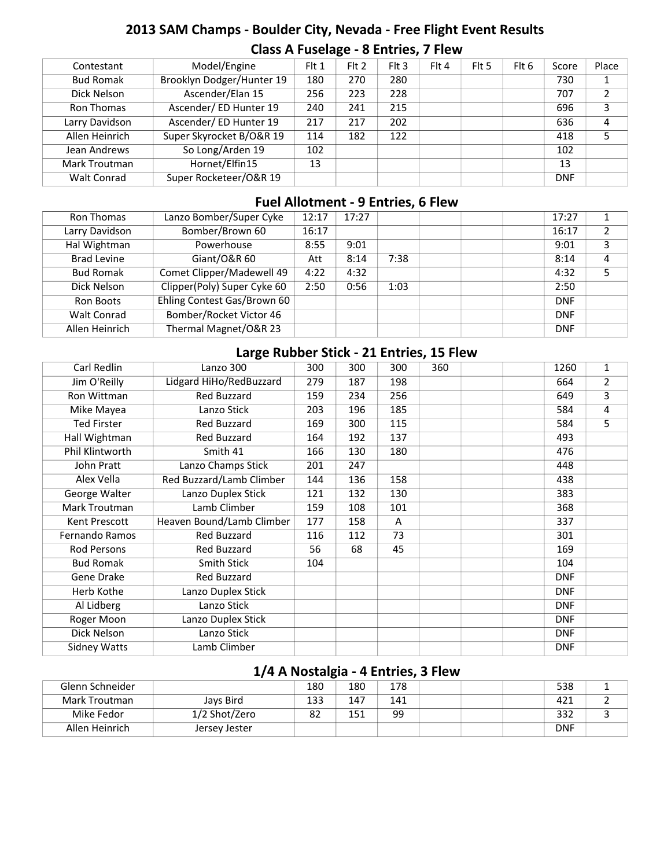# **2013 SAM Champs - Boulder City, Nevada - Free Flight Event Results Class A Fuselage - 8 Entries, 7 Flew**

| Contestant       | Model/Engine              | $F$ It 1 | $Fl$ Fit 2 | F1t3 | Flt 4 | Flt 5 | Flt 6 | Score      | Place |
|------------------|---------------------------|----------|------------|------|-------|-------|-------|------------|-------|
| <b>Bud Romak</b> | Brooklyn Dodger/Hunter 19 | 180      | 270        | 280  |       |       |       | 730        |       |
| Dick Nelson      | Ascender/Elan 15          | 256      | 223        | 228  |       |       |       | 707        | າ     |
| Ron Thomas       | Ascender/ ED Hunter 19    | 240      | 241        | 215  |       |       |       | 696        | 3     |
| Larry Davidson   | Ascender/ ED Hunter 19    | 217      | 217        | 202  |       |       |       | 636        | 4     |
| Allen Heinrich   | Super Skyrocket B/O&R 19  | 114      | 182        | 122  |       |       |       | 418        |       |
| Jean Andrews     | So Long/Arden 19          | 102      |            |      |       |       |       | 102        |       |
| Mark Troutman    | Hornet/Elfin15            | 13       |            |      |       |       |       | 13         |       |
| Walt Conrad      | Super Rocketeer/O&R 19    |          |            |      |       |       |       | <b>DNF</b> |       |

#### **Fuel Allotment - 9 Entries, 6 Flew**

| Ron Thomas         | Lanzo Bomber/Super Cyke     | 12:17 | 17:27 |      |  | 17:27      | 1 |
|--------------------|-----------------------------|-------|-------|------|--|------------|---|
| Larry Davidson     | Bomber/Brown 60             | 16:17 |       |      |  | 16:17      | 2 |
| Hal Wightman       | Powerhouse                  | 8:55  | 9:01  |      |  | 9:01       | 3 |
| <b>Brad Levine</b> | Giant/O&R 60                | Att   | 8:14  | 7:38 |  | 8:14       | 4 |
| <b>Bud Romak</b>   | Comet Clipper/Madewell 49   | 4:22  | 4:32  |      |  | 4:32       |   |
| Dick Nelson        | Clipper(Poly) Super Cyke 60 | 2:50  | 0:56  | 1:03 |  | 2:50       |   |
| Ron Boots          | Ehling Contest Gas/Brown 60 |       |       |      |  | <b>DNF</b> |   |
| <b>Walt Conrad</b> | Bomber/Rocket Victor 46     |       |       |      |  | <b>DNF</b> |   |
| Allen Heinrich     | Thermal Magnet/O&R 23       |       |       |      |  | <b>DNF</b> |   |

# **Large Rubber Stick - 21 Entries, 15 Flew**

| Carl Redlin           | Lanzo 300                 | 300 | 300 | 300 | 360 | 1260       | $\mathbf 1$    |
|-----------------------|---------------------------|-----|-----|-----|-----|------------|----------------|
| Jim O'Reilly          | Lidgard HiHo/RedBuzzard   | 279 | 187 | 198 |     | 664        | $\overline{2}$ |
| Ron Wittman           | Red Buzzard               | 159 | 234 | 256 |     | 649        | 3              |
| Mike Mayea            | Lanzo Stick               | 203 | 196 | 185 |     | 584        | 4              |
| <b>Ted Firster</b>    | Red Buzzard               | 169 | 300 | 115 |     | 584        | 5              |
| Hall Wightman         | Red Buzzard               | 164 | 192 | 137 |     | 493        |                |
| Phil Klintworth       | Smith 41                  | 166 | 130 | 180 |     | 476        |                |
| John Pratt            | Lanzo Champs Stick        | 201 | 247 |     |     | 448        |                |
| Alex Vella            | Red Buzzard/Lamb Climber  | 144 | 136 | 158 |     | 438        |                |
| George Walter         | Lanzo Duplex Stick        | 121 | 132 | 130 |     | 383        |                |
| Mark Troutman         | Lamb Climber              | 159 | 108 | 101 |     | 368        |                |
| Kent Prescott         | Heaven Bound/Lamb Climber | 177 | 158 | A   |     | 337        |                |
| <b>Fernando Ramos</b> | Red Buzzard               | 116 | 112 | 73  |     | 301        |                |
| Rod Persons           | Red Buzzard               | 56  | 68  | 45  |     | 169        |                |
| <b>Bud Romak</b>      | Smith Stick               | 104 |     |     |     | 104        |                |
| Gene Drake            | Red Buzzard               |     |     |     |     | <b>DNF</b> |                |
| Herb Kothe            | Lanzo Duplex Stick        |     |     |     |     | <b>DNF</b> |                |
| Al Lidberg            | Lanzo Stick               |     |     |     |     | <b>DNF</b> |                |
| Roger Moon            | Lanzo Duplex Stick        |     |     |     |     | <b>DNF</b> |                |
| Dick Nelson           | Lanzo Stick               |     |     |     |     | <b>DNF</b> |                |
| <b>Sidney Watts</b>   | Lamb Climber              |     |     |     |     | <b>DNF</b> |                |

# **1/4 A Nostalgia - 4 Entries, 3 Flew**

| Glenn Schneider |               | 180 | 180 | 178 |  | 538        |  |
|-----------------|---------------|-----|-----|-----|--|------------|--|
| Mark Troutman   | Jays Bird     | 133 | 147 | 141 |  | 421        |  |
| Mike Fedor      | 1/2 Shot/Zero | 82  | 151 | 99  |  | 332        |  |
| Allen Heinrich  | Jersey Jester |     |     |     |  | <b>DNF</b> |  |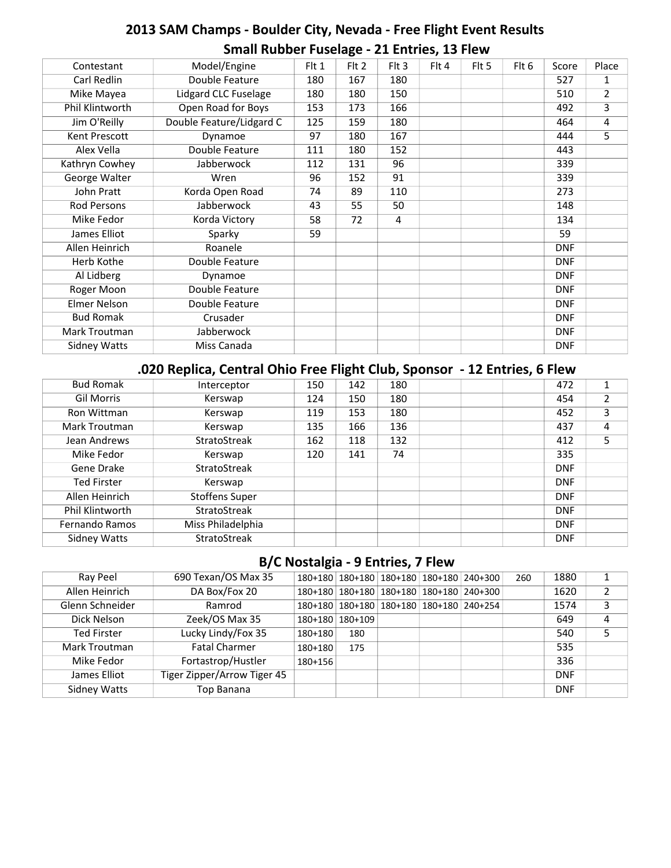# **2013 SAM Champs - Boulder City, Nevada - Free Flight Event Results Small Rubber Fuselage - 21 Entries, 13 Flew**

| Contestant          | Model/Engine             | Flt 1 | Flt 2 | $Fl$ 3         | Flt 4 | Flt 5 | Flt 6 | Score      | Place          |
|---------------------|--------------------------|-------|-------|----------------|-------|-------|-------|------------|----------------|
| Carl Redlin         | Double Feature           | 180   | 167   | 180            |       |       |       | 527        | 1              |
| Mike Mayea          | Lidgard CLC Fuselage     | 180   | 180   | 150            |       |       |       | 510        | $\overline{2}$ |
| Phil Klintworth     | Open Road for Boys       | 153   | 173   | 166            |       |       |       | 492        | 3              |
| Jim O'Reilly        | Double Feature/Lidgard C | 125   | 159   | 180            |       |       |       | 464        | 4              |
| Kent Prescott       | Dynamoe                  | 97    | 180   | 167            |       |       |       | 444        | 5              |
| Alex Vella          | Double Feature           | 111   | 180   | 152            |       |       |       | 443        |                |
| Kathryn Cowhey      | Jabberwock               | 112   | 131   | 96             |       |       |       | 339        |                |
| George Walter       | Wren                     | 96    | 152   | 91             |       |       |       | 339        |                |
| John Pratt          | Korda Open Road          | 74    | 89    | 110            |       |       |       | 273        |                |
| <b>Rod Persons</b>  | Jabberwock               | 43    | 55    | 50             |       |       |       | 148        |                |
| Mike Fedor          | Korda Victory            | 58    | 72    | $\overline{4}$ |       |       |       | 134        |                |
| James Elliot        | Sparky                   | 59    |       |                |       |       |       | 59         |                |
| Allen Heinrich      | Roanele                  |       |       |                |       |       |       | <b>DNF</b> |                |
| Herb Kothe          | Double Feature           |       |       |                |       |       |       | <b>DNF</b> |                |
| Al Lidberg          | Dynamoe                  |       |       |                |       |       |       | <b>DNF</b> |                |
| Roger Moon          | Double Feature           |       |       |                |       |       |       | <b>DNF</b> |                |
| <b>Elmer Nelson</b> | Double Feature           |       |       |                |       |       |       | <b>DNF</b> |                |
| <b>Bud Romak</b>    | Crusader                 |       |       |                |       |       |       | <b>DNF</b> |                |
| Mark Troutman       | Jabberwock               |       |       |                |       |       |       | <b>DNF</b> |                |
| <b>Sidney Watts</b> | Miss Canada              |       |       |                |       |       |       | <b>DNF</b> |                |

#### **.020 Replica, Central Ohio Free Flight Club, Sponsor - 12 Entries, 6 Flew**

| <b>Bud Romak</b>    | Interceptor           | 150 | 142 | 180 | 472        | 1 |
|---------------------|-----------------------|-----|-----|-----|------------|---|
| <b>Gil Morris</b>   | Kerswap               | 124 | 150 | 180 | 454        |   |
| Ron Wittman         | Kerswap               | 119 | 153 | 180 | 452        | 3 |
| Mark Troutman       | Kerswap               | 135 | 166 | 136 | 437        | 4 |
| Jean Andrews        | StratoStreak          | 162 | 118 | 132 | 412        | 5 |
| Mike Fedor          | Kerswap               | 120 | 141 | 74  | 335        |   |
| Gene Drake          | StratoStreak          |     |     |     | <b>DNF</b> |   |
| <b>Ted Firster</b>  | Kerswap               |     |     |     | <b>DNF</b> |   |
| Allen Heinrich      | <b>Stoffens Super</b> |     |     |     | <b>DNF</b> |   |
| Phil Klintworth     | StratoStreak          |     |     |     | <b>DNF</b> |   |
| Fernando Ramos      | Miss Philadelphia     |     |     |     | <b>DNF</b> |   |
| <b>Sidney Watts</b> | StratoStreak          |     |     |     | <b>DNF</b> |   |

#### **B/C Nostalgia - 9 Entries, 7 Flew**

| Ray Peel            | 690 Texan/OS Max 35         |           |                   |                                                 | 180+180   180+180   180+180   180+180   240+300 | 260 | 1880       |   |
|---------------------|-----------------------------|-----------|-------------------|-------------------------------------------------|-------------------------------------------------|-----|------------|---|
| Allen Heinrich      | DA Box/Fox 20               |           |                   |                                                 | 180+180   180+180   180+180   180+180   240+300 |     | 1620       |   |
| Glenn Schneider     | Ramrod                      |           |                   | 180+180   180+180   180+180   180+180   240+254 |                                                 |     | 1574       | 3 |
| Dick Nelson         | Zeek/OS Max 35              |           | 180+180   180+109 |                                                 |                                                 |     | 649        |   |
| Ted Firster         | Lucky Lindy/Fox 35          | 180+180   | 180               |                                                 |                                                 |     | 540        |   |
| Mark Troutman       | <b>Fatal Charmer</b>        | 180+180   | 175               |                                                 |                                                 |     | 535        |   |
| Mike Fedor          | Fortastrop/Hustler          | $180+156$ |                   |                                                 |                                                 |     | 336        |   |
| James Elliot        | Tiger Zipper/Arrow Tiger 45 |           |                   |                                                 |                                                 |     | <b>DNF</b> |   |
| <b>Sidney Watts</b> | Top Banana                  |           |                   |                                                 |                                                 |     | <b>DNF</b> |   |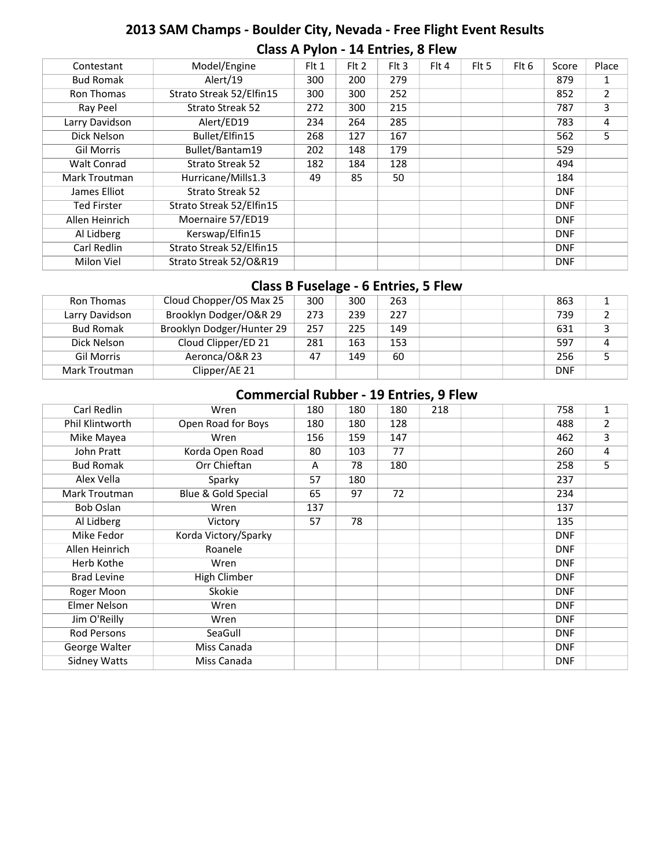# **2013 SAM Champs - Boulder City, Nevada - Free Flight Event Results Class A Pylon - 14 Entries, 8 Flew**

| Contestant         | Model/Engine             | Flt 1 | Flt 2 | Flt 3 | Flt 4 | Flt 5 | Flt 6 | Score      | Place |
|--------------------|--------------------------|-------|-------|-------|-------|-------|-------|------------|-------|
| <b>Bud Romak</b>   | Alert/19                 | 300   | 200   | 279   |       |       |       | 879        |       |
| Ron Thomas         | Strato Streak 52/Elfin15 | 300   | 300   | 252   |       |       |       | 852        | 2     |
| Ray Peel           | <b>Strato Streak 52</b>  | 272   | 300   | 215   |       |       |       | 787        | 3     |
| Larry Davidson     | Alert/ED19               | 234   | 264   | 285   |       |       |       | 783        | 4     |
| Dick Nelson        | Bullet/Elfin15           | 268   | 127   | 167   |       |       |       | 562        | 5     |
| <b>Gil Morris</b>  | Bullet/Bantam19          | 202   | 148   | 179   |       |       |       | 529        |       |
| <b>Walt Conrad</b> | <b>Strato Streak 52</b>  | 182   | 184   | 128   |       |       |       | 494        |       |
| Mark Troutman      | Hurricane/Mills1.3       | 49    | 85    | 50    |       |       |       | 184        |       |
| James Elliot       | <b>Strato Streak 52</b>  |       |       |       |       |       |       | <b>DNF</b> |       |
| <b>Ted Firster</b> | Strato Streak 52/Elfin15 |       |       |       |       |       |       | <b>DNF</b> |       |
| Allen Heinrich     | Moernaire 57/ED19        |       |       |       |       |       |       | <b>DNF</b> |       |
| Al Lidberg         | Kerswap/Elfin15          |       |       |       |       |       |       | <b>DNF</b> |       |
| Carl Redlin        | Strato Streak 52/Elfin15 |       |       |       |       |       |       | <b>DNF</b> |       |
| Milon Viel         | Strato Streak 52/O&R19   |       |       |       |       |       |       | <b>DNF</b> |       |
|                    |                          |       |       |       |       |       |       |            |       |

#### **Class B Fuselage - 6 Entries, 5 Flew**

| Ron Thomas        | Cloud Chopper/OS Max 25   | 300 | 300 | 263 |  | 863        |   |
|-------------------|---------------------------|-----|-----|-----|--|------------|---|
| Larry Davidson    | Brooklyn Dodger/O&R 29    | 273 | 239 | 227 |  | 739        |   |
| <b>Bud Romak</b>  | Brooklyn Dodger/Hunter 29 | 257 | 225 | 149 |  | 631        |   |
| Dick Nelson       | Cloud Clipper/ED 21       | 281 | 163 | 153 |  | 597        | 4 |
| <b>Gil Morris</b> | Aeronca/O&R 23            | 47  | 149 | 60  |  | 256        |   |
| Mark Troutman     | Clipper/AE 21             |     |     |     |  | <b>DNF</b> |   |

# **Commercial Rubber - 19 Entries, 9 Flew**

| Carl Redlin         | Wren                 | 180 | 180 | 180 | 218 |  | 758        | 1 |
|---------------------|----------------------|-----|-----|-----|-----|--|------------|---|
| Phil Klintworth     | Open Road for Boys   | 180 | 180 | 128 |     |  | 488        | 2 |
| Mike Mayea          | Wren                 | 156 | 159 | 147 |     |  | 462        | 3 |
| John Pratt          | Korda Open Road      | 80  | 103 | 77  |     |  | 260        | 4 |
| <b>Bud Romak</b>    | Orr Chieftan         | A   | 78  | 180 |     |  | 258        | 5 |
| Alex Vella          | Sparky               | 57  | 180 |     |     |  | 237        |   |
| Mark Troutman       | Blue & Gold Special  | 65  | 97  | 72  |     |  | 234        |   |
| Bob Oslan           | Wren                 | 137 |     |     |     |  | 137        |   |
| Al Lidberg          | Victory              | 57  | 78  |     |     |  | 135        |   |
| Mike Fedor          | Korda Victory/Sparky |     |     |     |     |  | <b>DNF</b> |   |
| Allen Heinrich      | Roanele              |     |     |     |     |  | <b>DNF</b> |   |
| Herb Kothe          | Wren                 |     |     |     |     |  | <b>DNF</b> |   |
| <b>Brad Levine</b>  | High Climber         |     |     |     |     |  | <b>DNF</b> |   |
| Roger Moon          | Skokie               |     |     |     |     |  | <b>DNF</b> |   |
| Elmer Nelson        | Wren                 |     |     |     |     |  | <b>DNF</b> |   |
| Jim O'Reilly        | Wren                 |     |     |     |     |  | <b>DNF</b> |   |
| <b>Rod Persons</b>  | SeaGull              |     |     |     |     |  | <b>DNF</b> |   |
| George Walter       | Miss Canada          |     |     |     |     |  | <b>DNF</b> |   |
| <b>Sidney Watts</b> | Miss Canada          |     |     |     |     |  | <b>DNF</b> |   |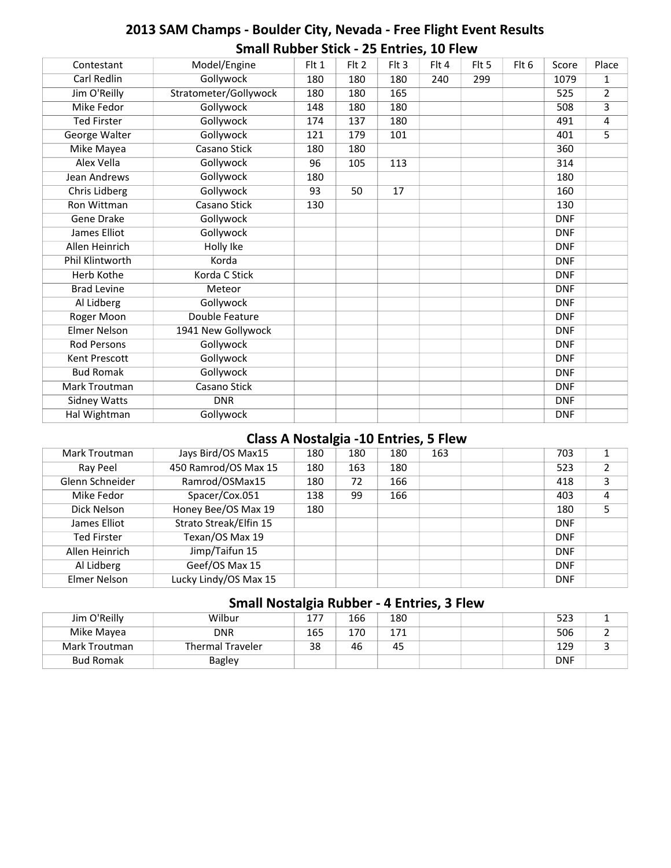# **2013 SAM Champs - Boulder City, Nevada - Free Flight Event Results Small Rubber Stick - 25 Entries, 10 Flew**

| Contestant           | Model/Engine          | Flt 1 | Flt 2 | F1t3 | Flt 4 | Flt 5 | Flt 6 | Score      | Place |
|----------------------|-----------------------|-------|-------|------|-------|-------|-------|------------|-------|
| Carl Redlin          | <b>Gollywock</b>      | 180   | 180   | 180  | 240   | 299   |       | 1079       | 1     |
| Jim O'Reilly         | Stratometer/Gollywock | 180   | 180   | 165  |       |       |       | 525        | 2     |
| <b>Mike Fedor</b>    | <b>Gollywock</b>      | 148   | 180   | 180  |       |       |       | 508        | 3     |
| <b>Ted Firster</b>   | Gollywock             | 174   | 137   | 180  |       |       |       | 491        | 4     |
| George Walter        | <b>Gollywock</b>      | 121   | 179   | 101  |       |       |       | 401        | 5     |
| Mike Mayea           | Casano Stick          | 180   | 180   |      |       |       |       | 360        |       |
| Alex Vella           | Gollywock             | 96    | 105   | 113  |       |       |       | 314        |       |
| Jean Andrews         | <b>Gollywock</b>      | 180   |       |      |       |       |       | 180        |       |
| <b>Chris Lidberg</b> | <b>Gollywock</b>      | 93    | 50    | 17   |       |       |       | 160        |       |
| Ron Wittman          | Casano Stick          | 130   |       |      |       |       |       | 130        |       |
| Gene Drake           | <b>Gollywock</b>      |       |       |      |       |       |       | <b>DNF</b> |       |
| James Elliot         | <b>Gollywock</b>      |       |       |      |       |       |       | <b>DNF</b> |       |
| Allen Heinrich       | Holly Ike             |       |       |      |       |       |       | <b>DNF</b> |       |
| Phil Klintworth      | Korda                 |       |       |      |       |       |       | <b>DNF</b> |       |
| Herb Kothe           | Korda C Stick         |       |       |      |       |       |       | <b>DNF</b> |       |
| <b>Brad Levine</b>   | Meteor                |       |       |      |       |       |       | <b>DNF</b> |       |
| Al Lidberg           | <b>Gollywock</b>      |       |       |      |       |       |       | <b>DNF</b> |       |
| Roger Moon           | Double Feature        |       |       |      |       |       |       | <b>DNF</b> |       |
| <b>Elmer Nelson</b>  | 1941 New Gollywock    |       |       |      |       |       |       | <b>DNF</b> |       |
| <b>Rod Persons</b>   | Gollywock             |       |       |      |       |       |       | <b>DNF</b> |       |
| <b>Kent Prescott</b> | <b>Gollywock</b>      |       |       |      |       |       |       | <b>DNF</b> |       |
| <b>Bud Romak</b>     | Gollywock             |       |       |      |       |       |       | <b>DNF</b> |       |
| Mark Troutman        | Casano Stick          |       |       |      |       |       |       | <b>DNF</b> |       |
| <b>Sidney Watts</b>  | <b>DNR</b>            |       |       |      |       |       |       | <b>DNF</b> |       |
| Hal Wightman         | Gollywock             |       |       |      |       |       |       | <b>DNF</b> |       |
|                      |                       |       |       |      |       |       |       |            |       |

# **Class A Nostalgia -10 Entries, 5 Flew**

| Mark Troutman      | Jays Bird/OS Max15     | 180 | 180 | 180 | 163 | 703        |   |
|--------------------|------------------------|-----|-----|-----|-----|------------|---|
| Ray Peel           | 450 Ramrod/OS Max 15   | 180 | 163 | 180 |     | 523        |   |
| Glenn Schneider    | Ramrod/OSMax15         | 180 | 72  | 166 |     | 418        | 3 |
| Mike Fedor         | Spacer/Cox.051         | 138 | 99  | 166 |     | 403        | 4 |
| Dick Nelson        | Honey Bee/OS Max 19    | 180 |     |     |     | 180        |   |
| James Elliot       | Strato Streak/Elfin 15 |     |     |     |     | <b>DNF</b> |   |
| <b>Ted Firster</b> | Texan/OS Max 19        |     |     |     |     | <b>DNF</b> |   |
| Allen Heinrich     | Jimp/Taifun 15         |     |     |     |     | <b>DNF</b> |   |
| Al Lidberg         | Geef/OS Max 15         |     |     |     |     | <b>DNF</b> |   |
| Elmer Nelson       | Lucky Lindy/OS Max 15  |     |     |     |     | <b>DNF</b> |   |
|                    |                        |     |     |     |     |            |   |

#### **Small Nostalgia Rubber - 4 Entries, 3 Flew**

| Jim O'Reilly     | Wilbur                  | $17^{-}$ | 166 | 180   |  | 523        |  |
|------------------|-------------------------|----------|-----|-------|--|------------|--|
| Mike Mayea       | <b>DNR</b>              | 165      | 170 | 1 7 1 |  | 506        |  |
| Mark Troutman    | <b>Thermal Traveler</b> | 38       | 46  | 45    |  | 129        |  |
| <b>Bud Romak</b> | <b>Bagley</b>           |          |     |       |  | <b>DNF</b> |  |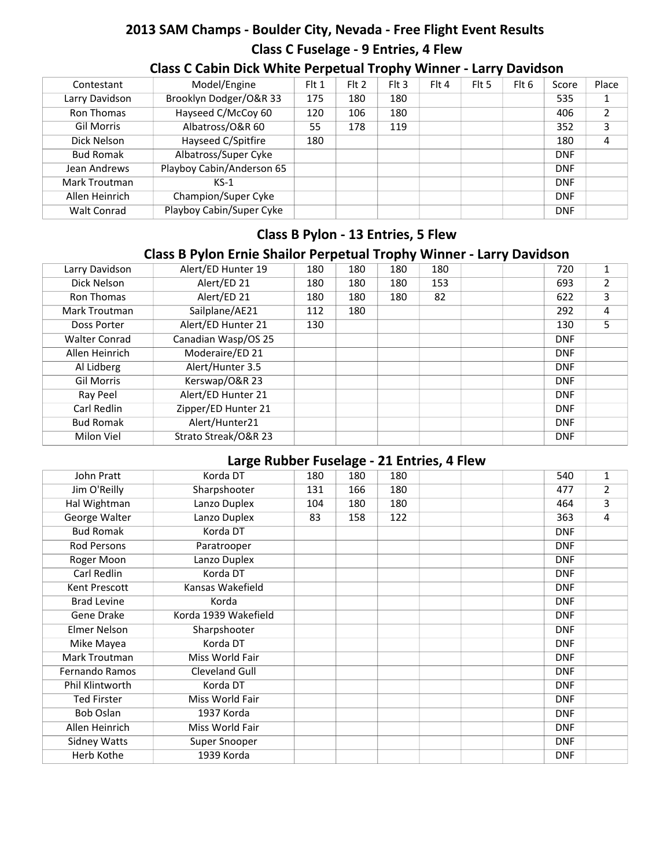# **2013 SAM Champs - Boulder City, Nevada - Free Flight Event Results Class C Fuselage - 9 Entries, 4 Flew**

| Contestant         | Model/Engine              | Flt 1 | Flt 2 | $F$ It 3 | Flt 4 | Flt 5 | Flt 6 | Score      | Place |
|--------------------|---------------------------|-------|-------|----------|-------|-------|-------|------------|-------|
| Larry Davidson     | Brooklyn Dodger/O&R 33    | 175   | 180   | 180      |       |       |       | 535        |       |
| Ron Thomas         | Hayseed C/McCoy 60        | 120   | 106   | 180      |       |       |       | 406        |       |
| <b>Gil Morris</b>  | Albatross/O&R 60          | 55    | 178   | 119      |       |       |       | 352        |       |
| Dick Nelson        | Hayseed C/Spitfire        | 180   |       |          |       |       |       | 180        |       |
| <b>Bud Romak</b>   | Albatross/Super Cyke      |       |       |          |       |       |       | <b>DNF</b> |       |
| Jean Andrews       | Playboy Cabin/Anderson 65 |       |       |          |       |       |       | <b>DNF</b> |       |
| Mark Troutman      | $KS-1$                    |       |       |          |       |       |       | <b>DNF</b> |       |
| Allen Heinrich     | Champion/Super Cyke       |       |       |          |       |       |       | <b>DNF</b> |       |
| <b>Walt Conrad</b> | Playboy Cabin/Super Cyke  |       |       |          |       |       |       | <b>DNF</b> |       |

### **Class C Cabin Dick White Perpetual Trophy Winner - Larry Davidson**

# **Class B Pylon - 13 Entries, 5 Flew**

# **Class B Pylon Ernie Shailor Perpetual Trophy Winner - Larry Davidson**

| Larry Davidson       | Alert/ED Hunter 19   | 180 | 180 | 180 | 180 | 720        |   |
|----------------------|----------------------|-----|-----|-----|-----|------------|---|
| Dick Nelson          | Alert/ED 21          | 180 | 180 | 180 | 153 | 693        |   |
| Ron Thomas           | Alert/ED 21          | 180 | 180 | 180 | 82  | 622        | 3 |
| Mark Troutman        | Sailplane/AE21       | 112 | 180 |     |     | 292        | 4 |
| Doss Porter          | Alert/ED Hunter 21   | 130 |     |     |     | 130        | 5 |
| <b>Walter Conrad</b> | Canadian Wasp/OS 25  |     |     |     |     | <b>DNF</b> |   |
| Allen Heinrich       | Moderaire/ED 21      |     |     |     |     | <b>DNF</b> |   |
| Al Lidberg           | Alert/Hunter 3.5     |     |     |     |     | <b>DNF</b> |   |
| <b>Gil Morris</b>    | Kerswap/O&R 23       |     |     |     |     | <b>DNF</b> |   |
| Ray Peel             | Alert/ED Hunter 21   |     |     |     |     | <b>DNF</b> |   |
| Carl Redlin          | Zipper/ED Hunter 21  |     |     |     |     | <b>DNF</b> |   |
| <b>Bud Romak</b>     | Alert/Hunter21       |     |     |     |     | <b>DNF</b> |   |
| <b>Milon Viel</b>    | Strato Streak/O&R 23 |     |     |     |     | <b>DNF</b> |   |

# **Large Rubber Fuselage - 21 Entries, 4 Flew**

| John Pratt            | Korda DT             | 180 | 180 | 180 |  | 540        | 1              |
|-----------------------|----------------------|-----|-----|-----|--|------------|----------------|
| Jim O'Reilly          | Sharpshooter         | 131 | 166 | 180 |  | 477        | $\overline{2}$ |
| Hal Wightman          | Lanzo Duplex         | 104 | 180 | 180 |  | 464        | 3              |
| George Walter         | Lanzo Duplex         | 83  | 158 | 122 |  | 363        | 4              |
| <b>Bud Romak</b>      | Korda DT             |     |     |     |  | <b>DNF</b> |                |
| Rod Persons           | Paratrooper          |     |     |     |  | <b>DNF</b> |                |
| Roger Moon            | Lanzo Duplex         |     |     |     |  | <b>DNF</b> |                |
| Carl Redlin           | Korda DT             |     |     |     |  | <b>DNF</b> |                |
| Kent Prescott         | Kansas Wakefield     |     |     |     |  | <b>DNF</b> |                |
| <b>Brad Levine</b>    | Korda                |     |     |     |  | <b>DNF</b> |                |
| Gene Drake            | Korda 1939 Wakefield |     |     |     |  | <b>DNF</b> |                |
| <b>Elmer Nelson</b>   | Sharpshooter         |     |     |     |  | <b>DNF</b> |                |
| Mike Mayea            | Korda DT             |     |     |     |  | <b>DNF</b> |                |
| Mark Troutman         | Miss World Fair      |     |     |     |  | <b>DNF</b> |                |
| <b>Fernando Ramos</b> | Cleveland Gull       |     |     |     |  | <b>DNF</b> |                |
| Phil Klintworth       | Korda DT             |     |     |     |  | <b>DNF</b> |                |
| <b>Ted Firster</b>    | Miss World Fair      |     |     |     |  | <b>DNF</b> |                |
| <b>Bob Oslan</b>      | 1937 Korda           |     |     |     |  | <b>DNF</b> |                |
| Allen Heinrich        | Miss World Fair      |     |     |     |  | <b>DNF</b> |                |
| <b>Sidney Watts</b>   | Super Snooper        |     |     |     |  | <b>DNF</b> |                |
| Herb Kothe            | 1939 Korda           |     |     |     |  | <b>DNF</b> |                |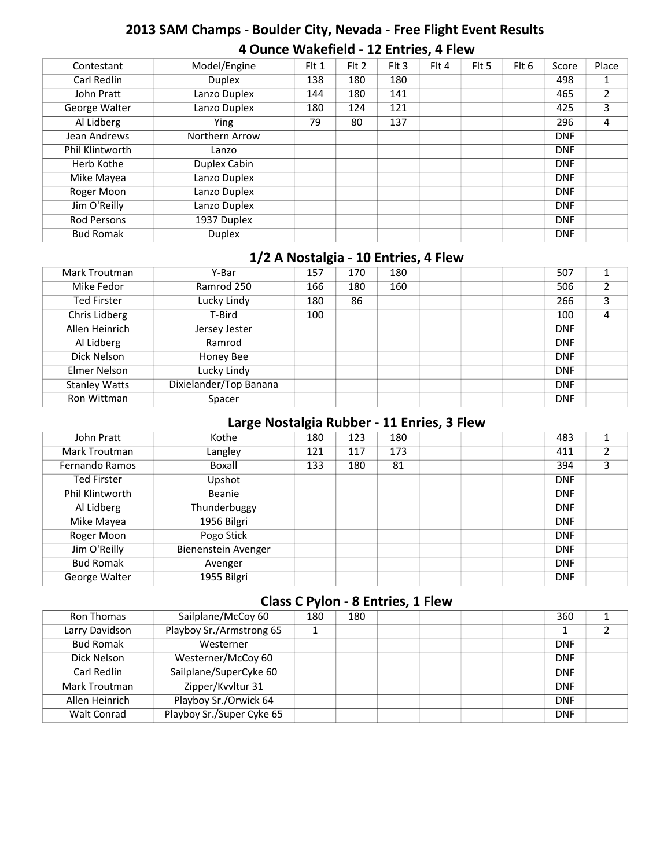# **2013 SAM Champs - Boulder City, Nevada - Free Flight Event Results 4 Ounce Wakefield - 12 Entries, 4 Flew**

| Contestant         | Model/Engine   | Flt 1 | $Fl$ 1 | $Fl$ Flt 3 | Flt 4 | Flt 5 | Flt 6 | Score      | Place |
|--------------------|----------------|-------|--------|------------|-------|-------|-------|------------|-------|
| Carl Redlin        | <b>Duplex</b>  | 138   | 180    | 180        |       |       |       | 498        | 1     |
| John Pratt         | Lanzo Duplex   | 144   | 180    | 141        |       |       |       | 465        | 2     |
| George Walter      | Lanzo Duplex   | 180   | 124    | 121        |       |       |       | 425        | 3     |
| Al Lidberg         | Ying           | 79    | 80     | 137        |       |       |       | 296        | 4     |
| Jean Andrews       | Northern Arrow |       |        |            |       |       |       | <b>DNF</b> |       |
| Phil Klintworth    | Lanzo          |       |        |            |       |       |       | <b>DNF</b> |       |
| Herb Kothe         | Duplex Cabin   |       |        |            |       |       |       | <b>DNF</b> |       |
| Mike Mayea         | Lanzo Duplex   |       |        |            |       |       |       | <b>DNF</b> |       |
| Roger Moon         | Lanzo Duplex   |       |        |            |       |       |       | <b>DNF</b> |       |
| Jim O'Reilly       | Lanzo Duplex   |       |        |            |       |       |       | <b>DNF</b> |       |
| <b>Rod Persons</b> | 1937 Duplex    |       |        |            |       |       |       | <b>DNF</b> |       |
| <b>Bud Romak</b>   | <b>Duplex</b>  |       |        |            |       |       |       | <b>DNF</b> |       |

#### **1/2 A Nostalgia - 10 Entries, 4 Flew**

| Mark Troutman        | Y-Bar                  | 157 | 170 | 180 |  | 507        | и |
|----------------------|------------------------|-----|-----|-----|--|------------|---|
| Mike Fedor           | Ramrod 250             | 166 | 180 | 160 |  | 506        |   |
| <b>Ted Firster</b>   | Lucky Lindy            | 180 | 86  |     |  | 266        |   |
| Chris Lidberg        | T-Bird                 | 100 |     |     |  | 100        |   |
| Allen Heinrich       | Jersey Jester          |     |     |     |  | <b>DNF</b> |   |
| Al Lidberg           | Ramrod                 |     |     |     |  | <b>DNF</b> |   |
| Dick Nelson          | Honey Bee              |     |     |     |  | <b>DNF</b> |   |
| Elmer Nelson         | Lucky Lindy            |     |     |     |  | <b>DNF</b> |   |
| <b>Stanley Watts</b> | Dixielander/Top Banana |     |     |     |  | <b>DNF</b> |   |
| Ron Wittman          | Spacer                 |     |     |     |  | <b>DNF</b> |   |

#### **Large Nostalgia Rubber - 11 Enries, 3 Flew**

|                       | . .                 | $\tilde{\phantom{a}}$ |     |     |  |            |   |
|-----------------------|---------------------|-----------------------|-----|-----|--|------------|---|
| John Pratt            | Kothe               | 180                   | 123 | 180 |  | 483        |   |
| Mark Troutman         | Langley             | 121                   | 117 | 173 |  | 411        |   |
| <b>Fernando Ramos</b> | Boxall              | 133                   | 180 | 81  |  | 394        | 3 |
| <b>Ted Firster</b>    | Upshot              |                       |     |     |  | <b>DNF</b> |   |
| Phil Klintworth       | Beanie              |                       |     |     |  | <b>DNF</b> |   |
| Al Lidberg            | Thunderbuggy        |                       |     |     |  | <b>DNF</b> |   |
| Mike Mayea            | 1956 Bilgri         |                       |     |     |  | <b>DNF</b> |   |
| Roger Moon            | Pogo Stick          |                       |     |     |  | <b>DNF</b> |   |
| Jim O'Reilly          | Bienenstein Avenger |                       |     |     |  | <b>DNF</b> |   |
| <b>Bud Romak</b>      | Avenger             |                       |     |     |  | <b>DNF</b> |   |
| George Walter         | 1955 Bilgri         |                       |     |     |  | <b>DNF</b> |   |
|                       |                     |                       |     |     |  |            |   |

#### **Class C Pylon - 8 Entries, 1 Flew**

| Ron Thomas         | Sailplane/McCoy 60        | 180 | 180 |  |  | 360        |  |
|--------------------|---------------------------|-----|-----|--|--|------------|--|
| Larry Davidson     | Playboy Sr./Armstrong 65  |     |     |  |  |            |  |
| <b>Bud Romak</b>   | Westerner                 |     |     |  |  | <b>DNF</b> |  |
| Dick Nelson        | Westerner/McCoy 60        |     |     |  |  | <b>DNF</b> |  |
| Carl Redlin        | Sailplane/SuperCyke 60    |     |     |  |  | <b>DNF</b> |  |
| Mark Troutman      | Zipper/Kvvltur 31         |     |     |  |  | <b>DNF</b> |  |
| Allen Heinrich     | Playboy Sr./Orwick 64     |     |     |  |  | <b>DNF</b> |  |
| <b>Walt Conrad</b> | Playboy Sr./Super Cyke 65 |     |     |  |  | <b>DNF</b> |  |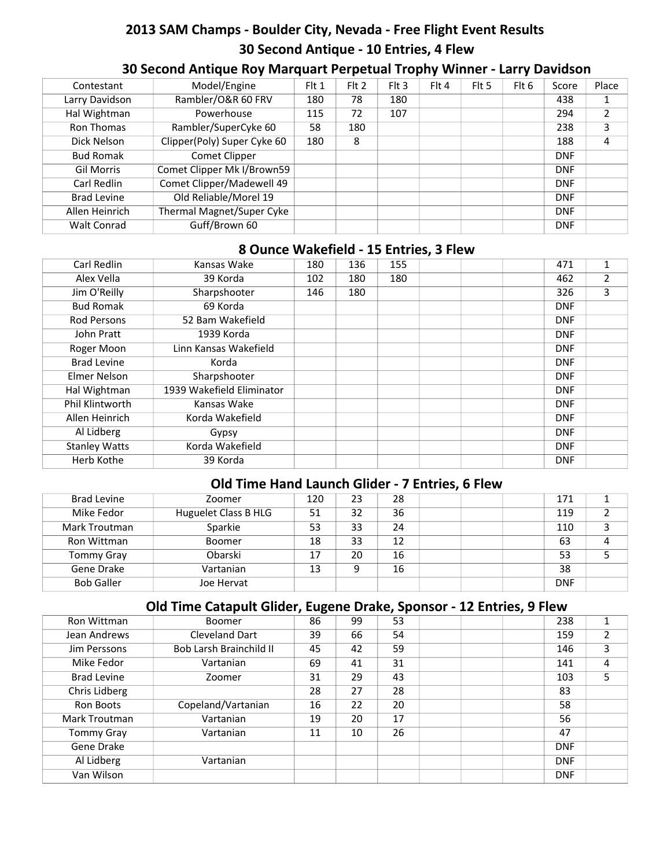# **2013 SAM Champs - Boulder City, Nevada - Free Flight Event Results 30 Second Antique - 10 Entries, 4 Flew**

| Contestant         | Model/Engine                | Flt 1 | $F$ It 2 | $F$ It 3 | $Fl$ 4 | Flt 5 | Flt 6 | Score      | Place |
|--------------------|-----------------------------|-------|----------|----------|--------|-------|-------|------------|-------|
| Larry Davidson     | Rambler/O&R 60 FRV          | 180   | 78       | 180      |        |       |       | 438        |       |
| Hal Wightman       | Powerhouse                  | 115   | 72       | 107      |        |       |       | 294        | ົ     |
| Ron Thomas         | Rambler/SuperCyke 60        | 58    | 180      |          |        |       |       | 238        | 3     |
| Dick Nelson        | Clipper(Poly) Super Cyke 60 | 180   | 8        |          |        |       |       | 188        | 4     |
| <b>Bud Romak</b>   | Comet Clipper               |       |          |          |        |       |       | <b>DNF</b> |       |
| <b>Gil Morris</b>  | Comet Clipper Mk I/Brown59  |       |          |          |        |       |       | <b>DNF</b> |       |
| Carl Redlin        | Comet Clipper/Madewell 49   |       |          |          |        |       |       | <b>DNF</b> |       |
| <b>Brad Levine</b> | Old Reliable/Morel 19       |       |          |          |        |       |       | <b>DNF</b> |       |
| Allen Heinrich     | Thermal Magnet/Super Cyke   |       |          |          |        |       |       | <b>DNF</b> |       |
| <b>Walt Conrad</b> | Guff/Brown 60               |       |          |          |        |       |       | <b>DNF</b> |       |

# **30 Second Antique Roy Marquart Perpetual Trophy Winner - Larry Davidson**

#### **8 Ounce Wakefield - 15 Entries, 3 Flew**

| Carl Redlin          | Kansas Wake               | 180 | 136 | 155 |  | 471        | 1              |
|----------------------|---------------------------|-----|-----|-----|--|------------|----------------|
| Alex Vella           | 39 Korda                  | 102 | 180 | 180 |  | 462        | $\overline{2}$ |
| Jim O'Reilly         | Sharpshooter              | 146 | 180 |     |  | 326        | 3              |
| <b>Bud Romak</b>     | 69 Korda                  |     |     |     |  | <b>DNF</b> |                |
| <b>Rod Persons</b>   | 52 Bam Wakefield          |     |     |     |  | <b>DNF</b> |                |
| John Pratt           | 1939 Korda                |     |     |     |  | <b>DNF</b> |                |
| Roger Moon           | Linn Kansas Wakefield     |     |     |     |  | <b>DNF</b> |                |
| <b>Brad Levine</b>   | Korda                     |     |     |     |  | <b>DNF</b> |                |
| Elmer Nelson         | Sharpshooter              |     |     |     |  | <b>DNF</b> |                |
| Hal Wightman         | 1939 Wakefield Eliminator |     |     |     |  | <b>DNF</b> |                |
| Phil Klintworth      | Kansas Wake               |     |     |     |  | <b>DNF</b> |                |
| Allen Heinrich       | Korda Wakefield           |     |     |     |  | <b>DNF</b> |                |
| Al Lidberg           | Gypsy                     |     |     |     |  | <b>DNF</b> |                |
| <b>Stanley Watts</b> | Korda Wakefield           |     |     |     |  | <b>DNF</b> |                |
| Herb Kothe           | 39 Korda                  |     |     |     |  | <b>DNF</b> |                |

#### **Old Time Hand Launch Glider - 7 Entries, 6 Flew**

| Brad Levine       | Zoomer               | 120 | 23 | 28 |  | 171        |  |
|-------------------|----------------------|-----|----|----|--|------------|--|
| Mike Fedor        | Huguelet Class B HLG | 51  | 32 | 36 |  | 119        |  |
| Mark Troutman     | Sparkie              | 53  | 33 | 24 |  | 110        |  |
| Ron Wittman       | <b>Boomer</b>        | 18  | 33 | 12 |  | 63         |  |
| <b>Tommy Gray</b> | Obarski              |     | 20 | 16 |  | 53         |  |
| Gene Drake        | Vartanian            | 13  | 9  | 16 |  | 38         |  |
| <b>Bob Galler</b> | Joe Hervat           |     |    |    |  | <b>DNF</b> |  |

# **Old Time Catapult Glider, Eugene Drake, Sponsor - 12 Entries, 9 Flew**

| Ron Wittman        | Boomer                         | 86 | 99 | 53 |  | 238        | 1 |
|--------------------|--------------------------------|----|----|----|--|------------|---|
| Jean Andrews       | Cleveland Dart                 | 39 | 66 | 54 |  | 159        |   |
| Jim Perssons       | <b>Bob Larsh Brainchild II</b> | 45 | 42 | 59 |  | 146        | 3 |
| Mike Fedor         | Vartanian                      | 69 | 41 | 31 |  | 141        | 4 |
| <b>Brad Levine</b> | Zoomer                         | 31 | 29 | 43 |  | 103        | 5 |
| Chris Lidberg      |                                | 28 | 27 | 28 |  | 83         |   |
| Ron Boots          | Copeland/Vartanian             | 16 | 22 | 20 |  | 58         |   |
| Mark Troutman      | Vartanian                      | 19 | 20 | 17 |  | 56         |   |
| <b>Tommy Gray</b>  | Vartanian                      | 11 | 10 | 26 |  | 47         |   |
| Gene Drake         |                                |    |    |    |  | <b>DNF</b> |   |
| Al Lidberg         | Vartanian                      |    |    |    |  | <b>DNF</b> |   |
| Van Wilson         |                                |    |    |    |  | <b>DNF</b> |   |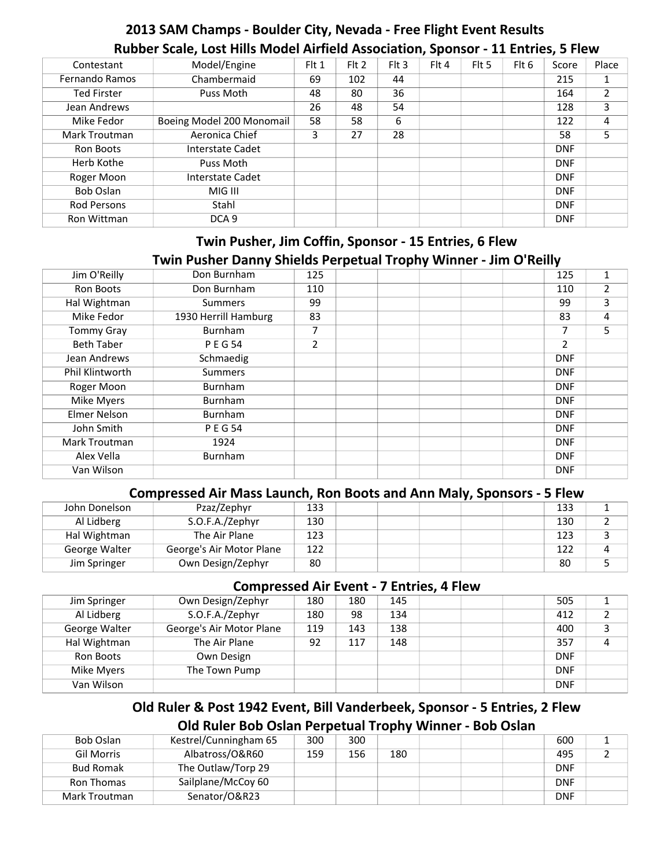# **2013 SAM Champs - Boulder City, Nevada - Free Flight Event Results Rubber Scale, Lost Hills Model Airfield Association, Sponsor - 11 Entries, 5 Flew**

| Contestant         | Model/Engine              | Flt 1 | Flt 2 | $Fl$ Fit 3 | Flt 4 | Flt 5 | Flt 6 | Score      | Place |
|--------------------|---------------------------|-------|-------|------------|-------|-------|-------|------------|-------|
| Fernando Ramos     | Chambermaid               | 69    | 102   | 44         |       |       |       | 215        |       |
| <b>Ted Firster</b> | Puss Moth                 | 48    | 80    | 36         |       |       |       | 164        |       |
| Jean Andrews       |                           | 26    | 48    | 54         |       |       |       | 128        | 3     |
| Mike Fedor         | Boeing Model 200 Monomail | 58    | 58    | 6          |       |       |       | 122        | 4     |
| Mark Troutman      | Aeronica Chief            | 3     | 27    | 28         |       |       |       | 58         | 5     |
| Ron Boots          | Interstate Cadet          |       |       |            |       |       |       | <b>DNF</b> |       |
| Herb Kothe         | Puss Moth                 |       |       |            |       |       |       | <b>DNF</b> |       |
| Roger Moon         | Interstate Cadet          |       |       |            |       |       |       | <b>DNF</b> |       |
| Bob Oslan          | MIG III                   |       |       |            |       |       |       | <b>DNF</b> |       |
| <b>Rod Persons</b> | Stahl                     |       |       |            |       |       |       | <b>DNF</b> |       |
| Ron Wittman        | DCA <sub>9</sub>          |       |       |            |       |       |       | <b>DNF</b> |       |

# **Twin Pusher, Jim Coffin, Sponsor - 15 Entries, 6 Flew Twin Pusher Danny Shields Perpetual Trophy Winner - Jim O'Reilly**

| Don Burnham          | 125            |  |  | 125            | 1 |
|----------------------|----------------|--|--|----------------|---|
| Don Burnham          | 110            |  |  | 110            |   |
| <b>Summers</b>       | 99             |  |  | 99             | 3 |
| 1930 Herrill Hamburg | 83             |  |  | 83             | 4 |
| Burnham              | 7              |  |  | 7              | 5 |
| <b>PEG54</b>         | $\overline{2}$ |  |  | $\overline{2}$ |   |
| Schmaedig            |                |  |  | <b>DNF</b>     |   |
| <b>Summers</b>       |                |  |  | <b>DNF</b>     |   |
| Burnham              |                |  |  | <b>DNF</b>     |   |
| Burnham              |                |  |  | <b>DNF</b>     |   |
| Burnham              |                |  |  | <b>DNF</b>     |   |
| <b>PEG54</b>         |                |  |  | <b>DNF</b>     |   |
| 1924                 |                |  |  | <b>DNF</b>     |   |
| Burnham              |                |  |  | <b>DNF</b>     |   |
|                      |                |  |  | <b>DNF</b>     |   |
|                      |                |  |  |                |   |

#### **Compressed Air Mass Launch, Ron Boots and Ann Maly, Sponsors - 5 Flew**

| John Donelson | Pzaz/Zephyr              | 133 |  |  | 133 |  |
|---------------|--------------------------|-----|--|--|-----|--|
| Al Lidberg    | S.O.F.A./Zephyr          | 130 |  |  | 130 |  |
| Hal Wightman  | The Air Plane            | 123 |  |  | 123 |  |
| George Walter | George's Air Motor Plane | 122 |  |  | 122 |  |
| Jim Springer  | Own Design/Zephyr        | 80  |  |  | 80  |  |

#### **Compressed Air Event - 7 Entries, 4 Flew**

|               |                          |     |     | - --------- |  |            |  |
|---------------|--------------------------|-----|-----|-------------|--|------------|--|
| Jim Springer  | Own Design/Zephyr        | 180 | 180 | 145         |  | 505        |  |
| Al Lidberg    | S.O.F.A./Zephyr          | 180 | 98  | 134         |  | 412        |  |
| George Walter | George's Air Motor Plane | 119 | 143 | 138         |  | 400        |  |
| Hal Wightman  | The Air Plane            | 92  | 117 | 148         |  | 357        |  |
| Ron Boots     | Own Design               |     |     |             |  | <b>DNF</b> |  |
| Mike Myers    | The Town Pump            |     |     |             |  | <b>DNF</b> |  |
| Van Wilson    |                          |     |     |             |  | <b>DNF</b> |  |

#### **Old Ruler & Post 1942 Event, Bill Vanderbeek, Sponsor - 5 Entries, 2 Flew Old Ruler Bob Oslan Perpetual Trophy Winner - Bob Oslan**

| Bob Oslan        | Kestrel/Cunningham 65 | 300 | 300 |     |  | 600        |  |
|------------------|-----------------------|-----|-----|-----|--|------------|--|
| Gil Morris       | Albatross/O&R60       | 159 | 156 | 180 |  | 495        |  |
| <b>Bud Romak</b> | The Outlaw/Torp 29    |     |     |     |  | <b>DNF</b> |  |
| Ron Thomas       | Sailplane/McCoy 60    |     |     |     |  | <b>DNF</b> |  |
| Mark Troutman    | Senator/O&R23         |     |     |     |  | <b>DNF</b> |  |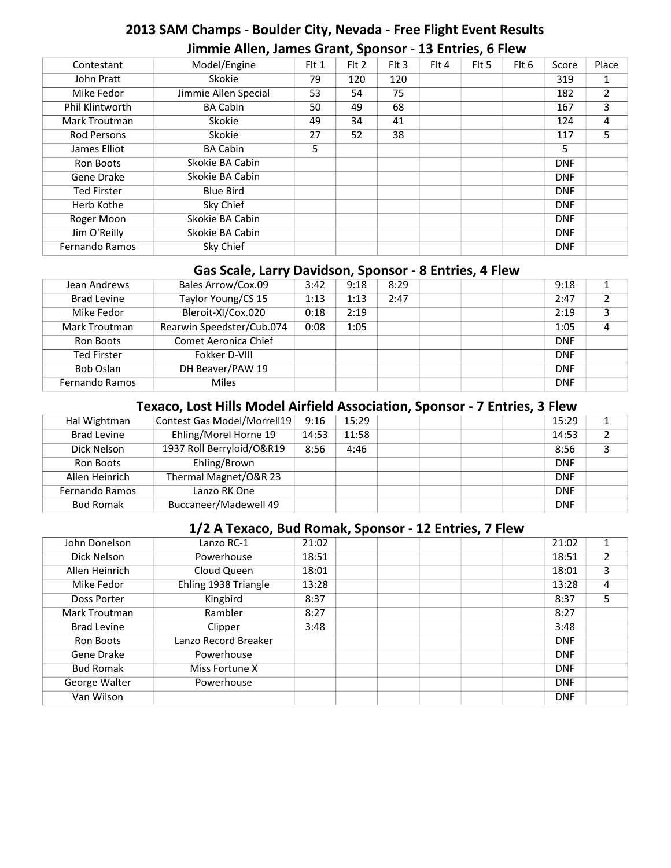# **2013 SAM Champs - Boulder City, Nevada - Free Flight Event Results Jimmie Allen, James Grant, Sponsor - 13 Entries, 6 Flew**

| Model/Engine         | F <sub>l</sub> 1 | $Fl$ Fit 2 | $Fl$ Flt 3 | Flt 4 | Flt 5 | Flt 6 | Score      | Place |
|----------------------|------------------|------------|------------|-------|-------|-------|------------|-------|
| Skokie               | 79               | 120        | 120        |       |       |       | 319        | 1     |
| Jimmie Allen Special | 53               | 54         | 75         |       |       |       | 182        | 2     |
| <b>BA Cabin</b>      | 50               | 49         | 68         |       |       |       | 167        | 3     |
| Skokie               | 49               | 34         | 41         |       |       |       | 124        | 4     |
| Skokie               | 27               | 52         | 38         |       |       |       | 117        | 5     |
| <b>BA Cabin</b>      | 5.               |            |            |       |       |       | 5          |       |
| Skokie BA Cabin      |                  |            |            |       |       |       | <b>DNF</b> |       |
| Skokie BA Cabin      |                  |            |            |       |       |       | <b>DNF</b> |       |
| <b>Blue Bird</b>     |                  |            |            |       |       |       | <b>DNF</b> |       |
| Sky Chief            |                  |            |            |       |       |       | <b>DNF</b> |       |
| Skokie BA Cabin      |                  |            |            |       |       |       | <b>DNF</b> |       |
| Skokie BA Cabin      |                  |            |            |       |       |       | <b>DNF</b> |       |
| Sky Chief            |                  |            |            |       |       |       | <b>DNF</b> |       |
|                      |                  |            |            |       |       |       |            |       |

#### **Gas Scale, Larry Davidson, Sponsor - 8 Entries, 4 Flew**

| Jean Andrews         | Bales Arrow/Cox.09        | 3:42 | 9:18 | 8:29 |  | 9:18       |   |
|----------------------|---------------------------|------|------|------|--|------------|---|
| <b>Brad Levine</b>   | Taylor Young/CS 15        | 1:13 | 1:13 | 2:47 |  | 2:47       |   |
| Mike Fedor           | Bleroit-XI/Cox.020        | 0:18 | 2:19 |      |  | 2:19       | 3 |
| <b>Mark Troutman</b> | Rearwin Speedster/Cub.074 | 0:08 | 1:05 |      |  | 1:05       | 4 |
| Ron Boots            | Comet Aeronica Chief      |      |      |      |  | <b>DNF</b> |   |
| <b>Ted Firster</b>   | Fokker D-VIII             |      |      |      |  | <b>DNF</b> |   |
| Bob Oslan            | DH Beaver/PAW 19          |      |      |      |  | <b>DNF</b> |   |
| Fernando Ramos       | <b>Miles</b>              |      |      |      |  | <b>DNF</b> |   |

# **Texaco, Lost Hills Model Airfield Association, Sponsor - 7 Entries, 3 Flew**

| Hal Wightman          | Contest Gas Model/Morrell19 | 9:16  | 15:29 |  | 15:29      |  |
|-----------------------|-----------------------------|-------|-------|--|------------|--|
| <b>Brad Levine</b>    | Ehling/Morel Horne 19       | 14:53 | 11:58 |  | 14:53      |  |
| Dick Nelson           | 1937 Roll Berryloid/O&R19   | 8:56  | 4:46  |  | 8:56       |  |
| Ron Boots             | Ehling/Brown                |       |       |  | <b>DNF</b> |  |
| Allen Heinrich        | Thermal Magnet/O&R 23       |       |       |  | <b>DNF</b> |  |
| <b>Fernando Ramos</b> | Lanzo RK One                |       |       |  | <b>DNF</b> |  |
| <b>Bud Romak</b>      | Buccaneer/Madewell 49       |       |       |  | <b>DNF</b> |  |

#### **1/2 A Texaco, Bud Romak, Sponsor - 12 Entries, 7 Flew**

| Lanzo RC-1           | 21:02 |  |  | 21:02      |   |
|----------------------|-------|--|--|------------|---|
| Powerhouse           | 18:51 |  |  | 18:51      |   |
| Cloud Queen          | 18:01 |  |  | 18:01      | 3 |
| Ehling 1938 Triangle | 13:28 |  |  | 13:28      | 4 |
| Kingbird             | 8:37  |  |  | 8:37       | 5 |
| Rambler              | 8:27  |  |  | 8:27       |   |
| Clipper              | 3:48  |  |  | 3:48       |   |
| Lanzo Record Breaker |       |  |  | <b>DNF</b> |   |
| Powerhouse           |       |  |  | <b>DNF</b> |   |
| Miss Fortune X       |       |  |  | <b>DNF</b> |   |
| Powerhouse           |       |  |  | <b>DNF</b> |   |
|                      |       |  |  | <b>DNF</b> |   |
|                      |       |  |  |            |   |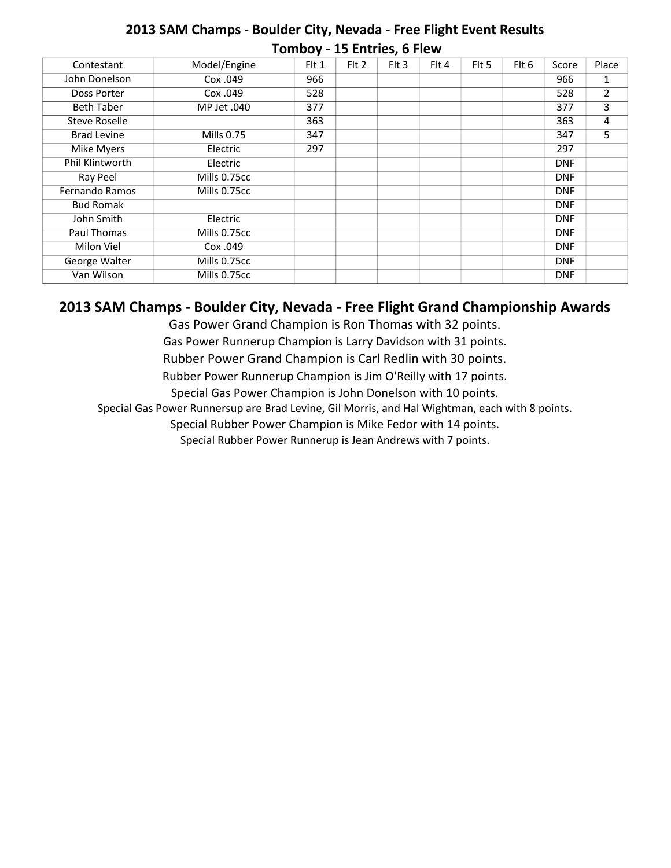### **2013 SAM Champs - Boulder City, Nevada - Free Flight Event Results Tomboy - 15 Entries, 6 Flew**

| Contestant         | Model/Engine | Flt 1 | $Fl$ Fit 2 | Flt 3 | Flt 4 | Flt 5 | Flt 6 | Score      | Place |
|--------------------|--------------|-------|------------|-------|-------|-------|-------|------------|-------|
| John Donelson      | Cox .049     | 966   |            |       |       |       |       | 966        | 1     |
| Doss Porter        | Cox .049     | 528   |            |       |       |       |       | 528        | 2     |
| <b>Beth Taber</b>  | MP Jet .040  | 377   |            |       |       |       |       | 377        | 3     |
| Steve Roselle      |              | 363   |            |       |       |       |       | 363        | 4     |
| <b>Brad Levine</b> | Mills 0.75   | 347   |            |       |       |       |       | 347        | 5     |
| Mike Myers         | Electric     | 297   |            |       |       |       |       | 297        |       |
| Phil Klintworth    | Electric     |       |            |       |       |       |       | <b>DNF</b> |       |
| Ray Peel           | Mills 0.75cc |       |            |       |       |       |       | <b>DNF</b> |       |
| Fernando Ramos     | Mills 0.75cc |       |            |       |       |       |       | <b>DNF</b> |       |
| <b>Bud Romak</b>   |              |       |            |       |       |       |       | <b>DNF</b> |       |
| John Smith         | Electric     |       |            |       |       |       |       | <b>DNF</b> |       |
| Paul Thomas        | Mills 0.75cc |       |            |       |       |       |       | <b>DNF</b> |       |
| Milon Viel         | Cox .049     |       |            |       |       |       |       | <b>DNF</b> |       |
| George Walter      | Mills 0.75cc |       |            |       |       |       |       | <b>DNF</b> |       |
| Van Wilson         | Mills 0.75cc |       |            |       |       |       |       | <b>DNF</b> |       |

#### **2013 SAM Champs - Boulder City, Nevada - Free Flight Grand Championship Awards**

Gas Power Grand Champion is Ron Thomas with 32 points.

Gas Power Runnerup Champion is Larry Davidson with 31 points.

Rubber Power Grand Champion is Carl Redlin with 30 points.

Rubber Power Runnerup Champion is Jim O'Reilly with 17 points.

Special Gas Power Champion is John Donelson with 10 points.

Special Gas Power Runnersup are Brad Levine, Gil Morris, and Hal Wightman, each with 8 points.

Special Rubber Power Champion is Mike Fedor with 14 points.

Special Rubber Power Runnerup is Jean Andrews with 7 points.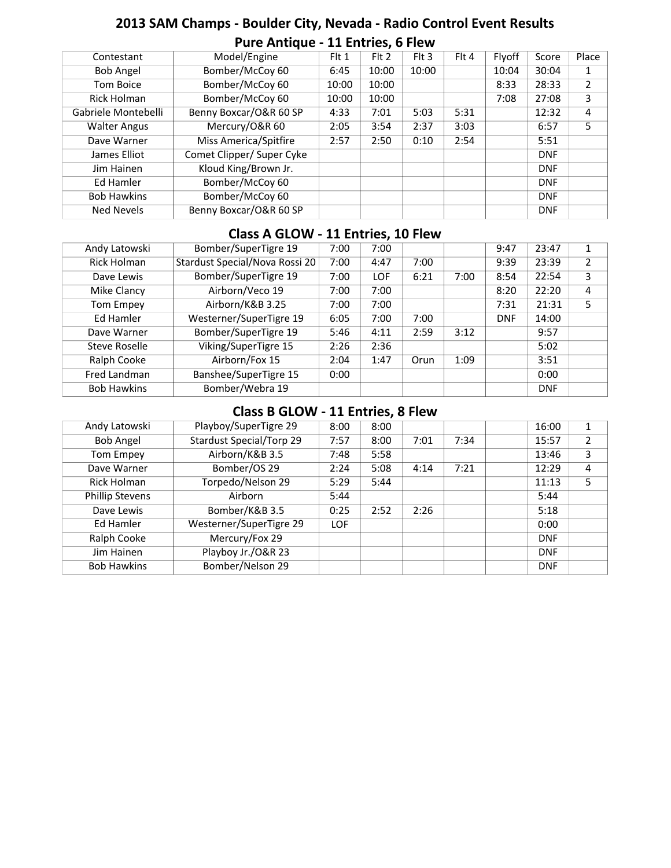# **2013 SAM Champs - Boulder City, Nevada - Radio Control Event Results Pure Antique - 11 Entries, 6 Flew**

| Contestant          | Model/Engine              | Flt 1 | Flt 2 | $F$ It 3 | Flt 4 | Flyoff | Score      | Place         |
|---------------------|---------------------------|-------|-------|----------|-------|--------|------------|---------------|
| <b>Bob Angel</b>    | Bomber/McCoy 60           | 6:45  | 10:00 | 10:00    |       | 10:04  | 30:04      | 1             |
| Tom Boice           | Bomber/McCoy 60           | 10:00 | 10:00 |          |       | 8:33   | 28:33      | $\mathcal{L}$ |
| Rick Holman         | Bomber/McCoy 60           | 10:00 | 10:00 |          |       | 7:08   | 27:08      | 3             |
| Gabriele Montebelli | Benny Boxcar/O&R 60 SP    | 4:33  | 7:01  | 5:03     | 5:31  |        | 12:32      | 4             |
| <b>Walter Angus</b> | Mercury/O&R 60            | 2:05  | 3:54  | 2:37     | 3:03  |        | 6:57       | 5             |
| Dave Warner         | Miss America/Spitfire     | 2:57  | 2:50  | 0:10     | 2:54  |        | 5:51       |               |
| James Elliot        | Comet Clipper/ Super Cyke |       |       |          |       |        | <b>DNF</b> |               |
| Jim Hainen          | Kloud King/Brown Jr.      |       |       |          |       |        | <b>DNF</b> |               |
| Ed Hamler           | Bomber/McCoy 60           |       |       |          |       |        | <b>DNF</b> |               |
| <b>Bob Hawkins</b>  | Bomber/McCoy 60           |       |       |          |       |        | <b>DNF</b> |               |
| <b>Ned Nevels</b>   | Benny Boxcar/O&R 60 SP    |       |       |          |       |        | <b>DNF</b> |               |

#### **Class A GLOW - 11 Entries, 10 Flew**

| Andy Latowski      | Bomber/SuperTigre 19           | 7:00 | 7:00       |      |      | 9:47       | 23:47      | 1              |
|--------------------|--------------------------------|------|------------|------|------|------------|------------|----------------|
| Rick Holman        | Stardust Special/Nova Rossi 20 | 7:00 | 4:47       | 7:00 |      | 9:39       | 23:39      | $\mathfrak{p}$ |
| Dave Lewis         | Bomber/SuperTigre 19           | 7:00 | <b>LOF</b> | 6:21 | 7:00 | 8:54       | 22:54      | 3              |
| Mike Clancy        | Airborn/Veco 19                | 7:00 | 7:00       |      |      | 8:20       | 22:20      | 4              |
| Tom Empey          | Airborn/K&B 3.25               | 7:00 | 7:00       |      |      | 7:31       | 21:31      | 5.             |
| Ed Hamler          | Westerner/SuperTigre 19        | 6:05 | 7:00       | 7:00 |      | <b>DNF</b> | 14:00      |                |
| Dave Warner        | Bomber/SuperTigre 19           | 5:46 | 4:11       | 2:59 | 3:12 |            | 9:57       |                |
| Steve Roselle      | Viking/SuperTigre 15           | 2:26 | 2:36       |      |      |            | 5:02       |                |
| Ralph Cooke        | Airborn/Fox 15                 | 2:04 | 1:47       | Orun | 1:09 |            | 3:51       |                |
| Fred Landman       | <b>Banshee/SuperTigre 15</b>   | 0:00 |            |      |      |            | 0:00       |                |
| <b>Bob Hawkins</b> | Bomber/Webra 19                |      |            |      |      |            | <b>DNF</b> |                |

#### **Class B GLOW - 11 Entries, 8 Flew**

| Andy Latowski          | Playboy/SuperTigre 29           | 8:00       | 8:00 |      |      | 16:00      | 1              |
|------------------------|---------------------------------|------------|------|------|------|------------|----------------|
| <b>Bob Angel</b>       | <b>Stardust Special/Torp 29</b> | 7:57       | 8:00 | 7:01 | 7:34 | 15:57      | $\overline{2}$ |
| Tom Empey              | Airborn/K&B 3.5                 | 7:48       | 5:58 |      |      | 13:46      | 3              |
| Dave Warner            | Bomber/OS 29                    | 2:24       | 5:08 | 4:14 | 7:21 | 12:29      | 4              |
| Rick Holman            | Torpedo/Nelson 29               | 5:29       | 5:44 |      |      | 11:13      | 5              |
| <b>Phillip Stevens</b> | Airborn                         | 5:44       |      |      |      | 5:44       |                |
| Dave Lewis             | Bomber/K&B 3.5                  | 0:25       | 2:52 | 2:26 |      | 5:18       |                |
| Ed Hamler              | Westerner/SuperTigre 29         | <b>LOF</b> |      |      |      | 0:00       |                |
| Ralph Cooke            | Mercury/Fox 29                  |            |      |      |      | <b>DNF</b> |                |
| Jim Hainen             | Playboy Jr./O&R 23              |            |      |      |      | <b>DNF</b> |                |
| <b>Bob Hawkins</b>     | Bomber/Nelson 29                |            |      |      |      | <b>DNF</b> |                |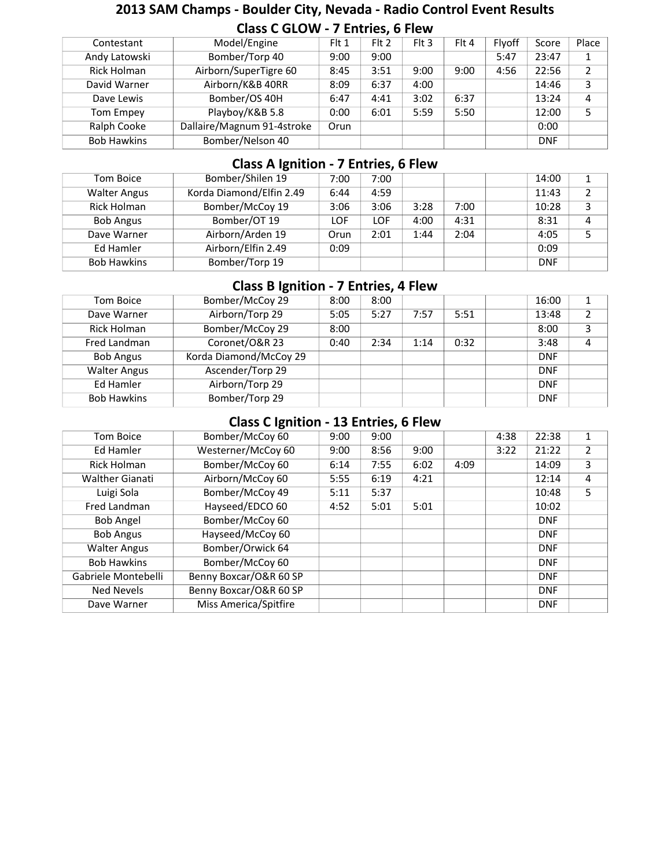#### **2013 SAM Champs - Boulder City, Nevada - Radio Control Event Results Class C GLOW - 7 Entries, 6 Flew**

| Contestant         | Model/Engine               | Flt 1 | F <sub>1</sub> 2 | $Fl$ Fit 3 | Flt 4 | <b>Flvoff</b> | Score      | Place |
|--------------------|----------------------------|-------|------------------|------------|-------|---------------|------------|-------|
| Andy Latowski      | Bomber/Torp 40             | 9:00  | 9:00             |            |       | 5:47          | 23:47      |       |
| Rick Holman        | Airborn/SuperTigre 60      | 8:45  | 3:51             | 9:00       | 9:00  | 4:56          | 22:56      | 2     |
| David Warner       | Airborn/K&B 40RR           | 8:09  | 6:37             | 4:00       |       |               | 14:46      | 3     |
| Dave Lewis         | Bomber/OS 40H              | 6:47  | 4:41             | 3:02       | 6:37  |               | 13:24      | 4     |
| Tom Empey          | Playboy/K&B 5.8            | 0:00  | 6:01             | 5:59       | 5:50  |               | 12:00      | 5     |
| Ralph Cooke        | Dallaire/Magnum 91-4stroke | Orun  |                  |            |       |               | 0:00       |       |
| <b>Bob Hawkins</b> | Bomber/Nelson 40           |       |                  |            |       |               | <b>DNF</b> |       |
|                    |                            |       |                  |            |       |               |            |       |

#### **Class A Ignition - 7 Entries, 6 Flew**

| Tom Boice           | Bomber/Shilen 19         | 7:00       | 7:00       |      |      | 14:00      |   |
|---------------------|--------------------------|------------|------------|------|------|------------|---|
| <b>Walter Angus</b> | Korda Diamond/Elfin 2.49 | 6:44       | 4:59       |      |      | 11:43      | າ |
| Rick Holman         | Bomber/McCoy 19          | 3:06       | 3:06       | 3:28 | 7:00 | 10:28      | 3 |
| <b>Bob Angus</b>    | Bomber/OT 19             | <b>LOF</b> | <b>LOF</b> | 4:00 | 4:31 | 8:31       | 4 |
| Dave Warner         | Airborn/Arden 19         | Orun       | 2:01       | 1:44 | 2:04 | 4:05       |   |
| Ed Hamler           | Airborn/Elfin 2.49       | 0:09       |            |      |      | 0:09       |   |
| <b>Bob Hawkins</b>  | Bomber/Torp 19           |            |            |      |      | <b>DNF</b> |   |
|                     |                          |            |            |      |      |            |   |

# **Class B Ignition - 7 Entries, 4 Flew**

| Tom Boice           | Bomber/McCoy 29        | 8:00 | 8:00 |      |      | 16:00      | 1 |
|---------------------|------------------------|------|------|------|------|------------|---|
| Dave Warner         | Airborn/Torp 29        | 5:05 | 5:27 | 7:57 | 5:51 | 13:48      | 2 |
| Rick Holman         | Bomber/McCoy 29        | 8:00 |      |      |      | 8:00       | 3 |
| Fred Landman        | Coronet/O&R 23         | 0:40 | 2:34 | 1:14 | 0:32 | 3:48       | 4 |
| <b>Bob Angus</b>    | Korda Diamond/McCoy 29 |      |      |      |      | <b>DNF</b> |   |
| <b>Walter Angus</b> | Ascender/Torp 29       |      |      |      |      | <b>DNF</b> |   |
| Ed Hamler           | Airborn/Torp 29        |      |      |      |      | <b>DNF</b> |   |
| <b>Bob Hawkins</b>  | Bomber/Torp 29         |      |      |      |      | <b>DNF</b> |   |

#### **Class C Ignition - 13 Entries, 6 Flew**

| Tom Boice              | Bomber/McCoy 60        | 9:00 | 9:00 |      |      | 4:38 | 22:38      | $\mathbf{1}$   |
|------------------------|------------------------|------|------|------|------|------|------------|----------------|
| Ed Hamler              | Westerner/McCoy 60     | 9:00 | 8:56 | 9:00 |      | 3:22 | 21:22      | $\overline{2}$ |
| Rick Holman            | Bomber/McCoy 60        | 6:14 | 7:55 | 6:02 | 4:09 |      | 14:09      | 3              |
| <b>Walther Gianati</b> | Airborn/McCoy 60       | 5:55 | 6:19 | 4:21 |      |      | 12:14      | 4              |
| Luigi Sola             | Bomber/McCoy 49        | 5:11 | 5:37 |      |      |      | 10:48      | 5              |
| Fred Landman           | Hayseed/EDCO 60        | 4:52 | 5:01 | 5:01 |      |      | 10:02      |                |
| <b>Bob Angel</b>       | Bomber/McCoy 60        |      |      |      |      |      | <b>DNF</b> |                |
| <b>Bob Angus</b>       | Hayseed/McCoy 60       |      |      |      |      |      | <b>DNF</b> |                |
| <b>Walter Angus</b>    | Bomber/Orwick 64       |      |      |      |      |      | <b>DNF</b> |                |
| <b>Bob Hawkins</b>     | Bomber/McCoy 60        |      |      |      |      |      | <b>DNF</b> |                |
| Gabriele Montebelli    | Benny Boxcar/O&R 60 SP |      |      |      |      |      | <b>DNF</b> |                |
| Ned Nevels             | Benny Boxcar/O&R 60 SP |      |      |      |      |      | <b>DNF</b> |                |
| Dave Warner            | Miss America/Spitfire  |      |      |      |      |      | <b>DNF</b> |                |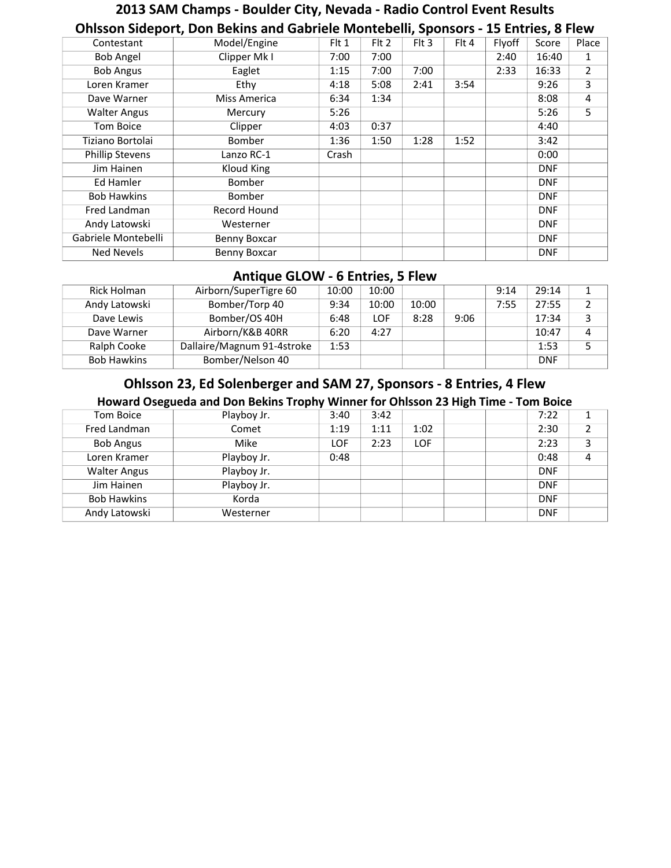# **2013 SAM Champs - Boulder City, Nevada - Radio Control Event Results Ohlsson Sideport, Don Bekins and Gabriele Montebelli, Sponsors - 15 Entries, 8 Flew**

|              |              |       |       |            |       | Score      | Place          |
|--------------|--------------|-------|-------|------------|-------|------------|----------------|
| Clipper Mk I | 7:00         | 7:00  |       |            | 2:40  | 16:40      | 1              |
| Eaglet       | 1:15         | 7:00  | 7:00  |            | 2:33  | 16:33      | $\overline{2}$ |
| Ethy         | 4:18         | 5:08  | 2:41  | 3:54       |       | 9:26       | 3              |
| Miss America | 6:34         | 1:34  |       |            |       | 8:08       | 4              |
| Mercury      | 5:26         |       |       |            |       | 5:26       | 5              |
| Clipper      | 4:03         | 0:37  |       |            |       | 4:40       |                |
| Bomber       | 1:36         | 1:50  | 1:28  | 1:52       |       | 3:42       |                |
| Lanzo RC-1   | Crash        |       |       |            |       | 0:00       |                |
| Kloud King   |              |       |       |            |       | <b>DNF</b> |                |
| Bomber       |              |       |       |            |       | <b>DNF</b> |                |
| Bomber       |              |       |       |            |       | <b>DNF</b> |                |
| Record Hound |              |       |       |            |       | <b>DNF</b> |                |
| Westerner    |              |       |       |            |       | <b>DNF</b> |                |
| Benny Boxcar |              |       |       |            |       | <b>DNF</b> |                |
| Benny Boxcar |              |       |       |            |       | <b>DNF</b> |                |
|              | Model/Engine | Flt 1 | Flt 2 | $Fl$ Flt 3 | Flt 4 | Flyoff     |                |

#### **Antique GLOW - 6 Entries, 5 Flew**

| Rick Holman        | Airborn/SuperTigre 60      | 10:00 | 10:00 |       |      | 9:14 | 29:14      | 1. |
|--------------------|----------------------------|-------|-------|-------|------|------|------------|----|
| Andy Latowski      | Bomber/Torp 40             | 9:34  | 10:00 | 10:00 |      | 7:55 | 27:55      |    |
| Dave Lewis         | Bomber/OS 40H              | 6:48  | LOF   | 8:28  | 9:06 |      | 17:34      |    |
| Dave Warner        | Airborn/K&B 40RR           | 6:20  | 4:27  |       |      |      | 10:47      | 4  |
| Ralph Cooke        | Dallaire/Magnum 91-4stroke | 1:53  |       |       |      |      | 1:53       |    |
| <b>Bob Hawkins</b> | Bomber/Nelson 40           |       |       |       |      |      | <b>DNF</b> |    |

### **Ohlsson 23, Ed Solenberger and SAM 27, Sponsors - 8 Entries, 4 Flew**

#### **Howard Osegueda and Don Bekins Trophy Winner for Ohlsson 23 High Time - Tom Boice**

| Tom Boice           | Playboy Jr. | 3:40       | 3:42 |      |  | 7:22       |  |
|---------------------|-------------|------------|------|------|--|------------|--|
| Fred Landman        | Comet       | 1:19       | 1:11 | 1:02 |  | 2:30       |  |
| <b>Bob Angus</b>    | Mike        | <b>LOF</b> | 2:23 | LOF  |  | 2:23       |  |
| Loren Kramer        | Playboy Jr. | 0:48       |      |      |  | 0:48       |  |
| <b>Walter Angus</b> | Playboy Jr. |            |      |      |  | <b>DNF</b> |  |
| Jim Hainen          | Playboy Jr. |            |      |      |  | <b>DNF</b> |  |
| <b>Bob Hawkins</b>  | Korda       |            |      |      |  | <b>DNF</b> |  |
| Andy Latowski       | Westerner   |            |      |      |  | <b>DNF</b> |  |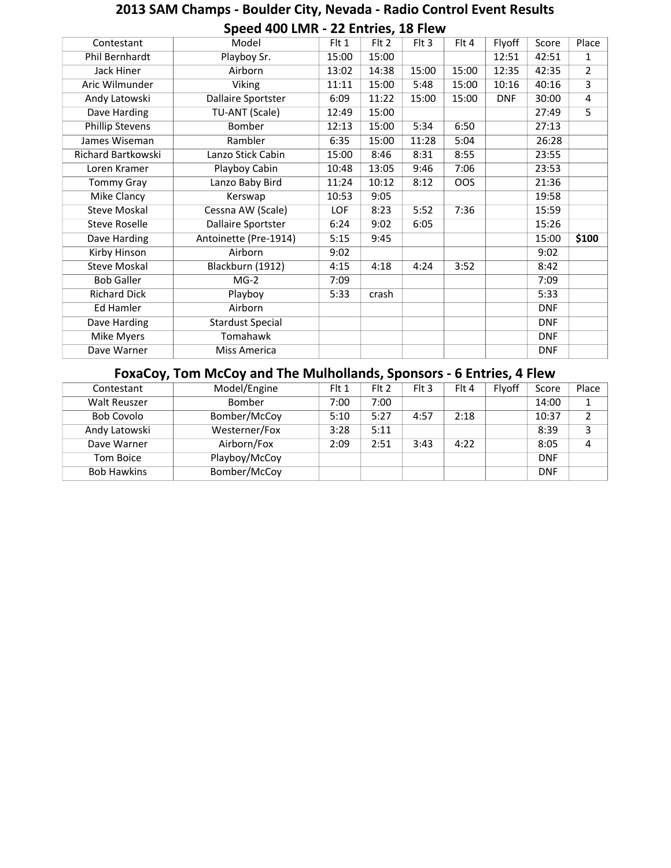#### **Speed 400 LMR - 22 Entries, 18 Flew**<br>Model | Flt 1 | Flt 2 | Flt 3 | Contestant | Model | Flt 1 | Flt 2 | Flt 3 | Flt 4 | Flyoff | Score | Place Playboy Sr. 15:00 15:00 15:00 12:51 42:51 1 13:02 | 14:38 | 15:00 | 15:00 | 12:35 | 42:35 | 2 Viking | 11:11 | 15:00 | 5:48 | 15:00 | 10:16 | 40:16 | 3  $6:09$  | 11:22 | 15:00 | 15:00 | DNF | 30:00 | 4 Dave Harding TU-ANT (Scale) 12:49 15:00 37:49 5 Phillip Stevens Bomber 12:13 15:00 5:34 6:50 James Wiseman Rambler 6:35 15:00 11:28 5:04 15:00 8:46 8:31 8:55 Loren Kramer Playboy Cabin 10:48 13:05 9:46 7:06 Tommy Gray Lanzo Baby Bird | 11:24 | 10:12 | 8:12 | OOS | | 21:36 Mike Clancy **10:53** 9:05 Cessna AW (Scale) LOF 8:23 5:52 7:36 15:59 Steve Roselle Dallaire Sportster 6:24 9:02 6:05 15:26 Dave Harding Antoinette (Pre-1914) 5:15 9:45 15:00 **\$100**  9:02 9:02 Blackburn (1912) 4:15 4:18 4:24 3:52 8:42 MG-2 7:09 7:09 7:09 Richard Dick Playboy 5:33 crash 5:33 5:33 DNF Dave Harding Stardust Special DNF Mike Myers **Tomahawk** DNF Dave Warner Miss America DNF Flyoff Phil Bernhardt Jack Hiner Airborn | 13:02 | 14:38 | 15:00 | 15:00 | 12:35 | 42:35 Aric Wilmunder 40:16 Andy Latowski Dallaire Sportster 6:09 11:22 15:00 15:00 DNF 30:00 27:49 27:13 26:28 Richard Bartkowski Lanzo Stick Cabin 15:00 8:46 8:31 8:55 23:55 23:53 Kerswap 10:53 9:05 | 19:58 Steve Moskal Kirby Hinson Airborn Steve Moskal Bob Galler Ed Hamler Airborn

# **2013 SAM Champs - Boulder City, Nevada - Radio Control Event Results**

#### **FoxaCoy, Tom McCoy and The Mulhollands, Sponsors - 6 Entries, 4 Flew**

| Contestant         | Model/Engine  | Flt 1 | Flt 2 | $Fl$ Fit 3 | Flt 4 | Flyoff | Score      | Place |
|--------------------|---------------|-------|-------|------------|-------|--------|------------|-------|
| Walt Reuszer       | Bomber        | 7:00  | 7:00  |            |       |        | 14:00      |       |
| Bob Covolo         | Bomber/McCoy  | 5:10  | 5:27  | 4:57       | 2:18  |        | 10:37      | n.    |
| Andy Latowski      | Westerner/Fox | 3:28  | 5:11  |            |       |        | 8:39       |       |
| Dave Warner        | Airborn/Fox   | 2:09  | 2:51  | 3:43       | 4:22  |        | 8:05       |       |
| Tom Boice          | Playboy/McCoy |       |       |            |       |        | <b>DNF</b> |       |
| <b>Bob Hawkins</b> | Bomber/McCoy  |       |       |            |       |        | <b>DNF</b> |       |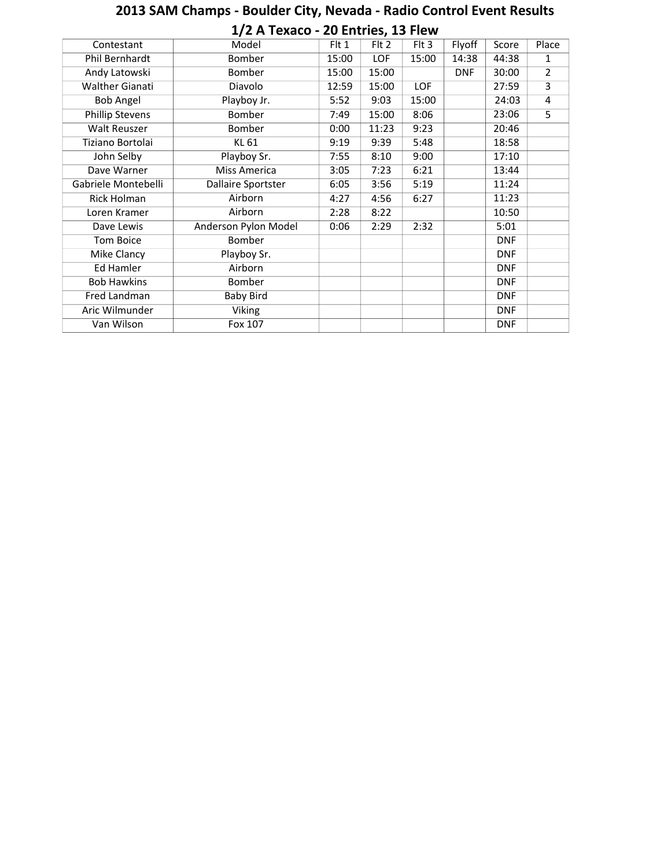|                        | 1/2 A Texaco - 20 Entries, 13 Flew |       |            |            |            |            |                |
|------------------------|------------------------------------|-------|------------|------------|------------|------------|----------------|
| Contestant             | Model                              | Flt 1 | Flt 2      | $Fl$ 3     | Flyoff     | Score      | Place          |
| Phil Bernhardt         | Bomber                             | 15:00 | <b>LOF</b> | 15:00      | 14:38      | 44:38      | 1              |
| Andy Latowski          | Bomber                             | 15:00 | 15:00      |            | <b>DNF</b> | 30:00      | $\overline{2}$ |
| <b>Walther Gianati</b> | Diavolo                            | 12:59 | 15:00      | <b>LOF</b> |            | 27:59      | $\overline{3}$ |
| <b>Bob Angel</b>       | Playboy Jr.                        | 5:52  | 9:03       | 15:00      |            | 24:03      | 4              |
| <b>Phillip Stevens</b> | Bomber                             | 7:49  | 15:00      | 8:06       |            | 23:06      | $\overline{5}$ |
| <b>Walt Reuszer</b>    | Bomber                             | 0:00  | 11:23      | 9:23       |            | 20:46      |                |
| Tiziano Bortolai       | <b>KL 61</b>                       | 9:19  | 9:39       | 5:48       |            | 18:58      |                |
| John Selby             | Playboy Sr.                        | 7:55  | 8:10       | 9:00       |            | 17:10      |                |
| Dave Warner            | <b>Miss America</b>                | 3:05  | 7:23       | 6:21       |            | 13:44      |                |
| Gabriele Montebelli    | Dallaire Sportster                 | 6:05  | 3:56       | 5:19       |            | 11:24      |                |
| <b>Rick Holman</b>     | Airborn                            | 4:27  | 4:56       | 6:27       |            | 11:23      |                |
| Loren Kramer           | Airborn                            | 2:28  | 8:22       |            |            | 10:50      |                |
| Dave Lewis             | Anderson Pylon Model               | 0:06  | 2:29       | 2:32       |            | 5:01       |                |
| Tom Boice              | Bomber                             |       |            |            |            | <b>DNF</b> |                |
| Mike Clancy            | Playboy Sr.                        |       |            |            |            | <b>DNF</b> |                |
| <b>Ed Hamler</b>       | Airborn                            |       |            |            |            | <b>DNF</b> |                |
| <b>Bob Hawkins</b>     | Bomber                             |       |            |            |            | <b>DNF</b> |                |
| Fred Landman           | <b>Baby Bird</b>                   |       |            |            |            | <b>DNF</b> |                |
| Aric Wilmunder         | Viking                             |       |            |            |            | <b>DNF</b> |                |
| Van Wilson             | Fox 107                            |       |            |            |            | <b>DNF</b> |                |

# **2013 SAM Champs - Boulder City, Nevada - Radio Control Event Results**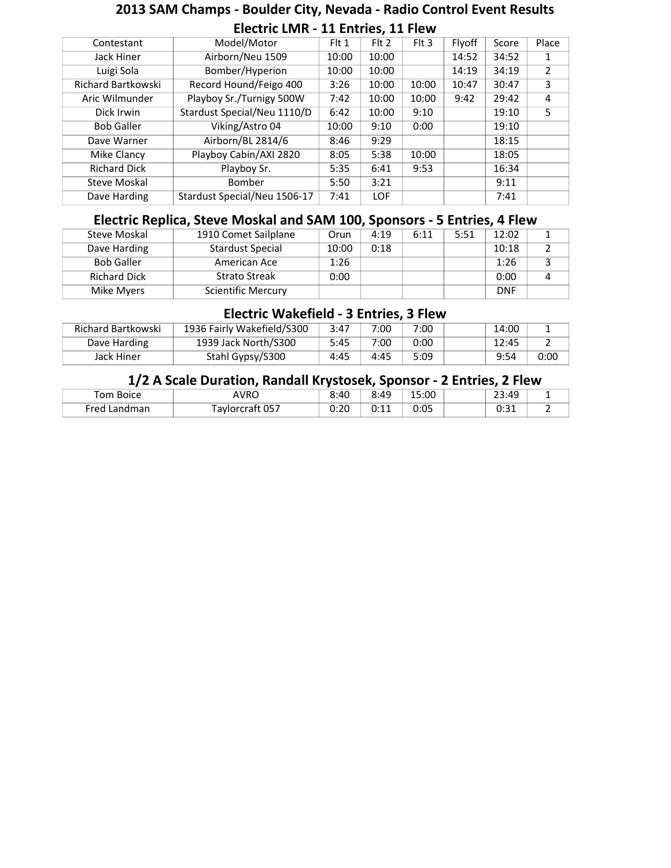# **2013 SAM Champs - Boulder City, Nevada - Radio Control Event Results Electric LMR - 11 Entries, 11 Flew**

| Contestant          | Model/Motor                  | Flt 1 | F <sub>1</sub> 2 | $Fl$ Fit 3 | Flyoff | Score | Place |
|---------------------|------------------------------|-------|------------------|------------|--------|-------|-------|
| Jack Hiner          | Airborn/Neu 1509             | 10:00 | 10:00            |            | 14:52  | 34:52 | 1     |
| Luigi Sola          | Bomber/Hyperion              | 10:00 | 10:00            |            | 14:19  | 34:19 | 2     |
| Richard Bartkowski  | Record Hound/Feigo 400       | 3:26  | 10:00            | 10:00      | 10:47  | 30:47 | 3     |
| Aric Wilmunder      | Playboy Sr./Turnigy 500W     | 7:42  | 10:00            | 10:00      | 9:42   | 29:42 | 4     |
| Dick Irwin          | Stardust Special/Neu 1110/D  | 6:42  | 10:00            | 9:10       |        | 19:10 | 5     |
| <b>Bob Galler</b>   | Viking/Astro 04              | 10:00 | 9:10             | 0:00       |        | 19:10 |       |
| Dave Warner         | Airborn/BL 2814/6            | 8:46  | 9:29             |            |        | 18:15 |       |
| Mike Clancy         | Playboy Cabin/AXI 2820       | 8:05  | 5:38             | 10:00      |        | 18:05 |       |
| <b>Richard Dick</b> | Playboy Sr.                  | 5:35  | 6:41             | 9:53       |        | 16:34 |       |
| <b>Steve Moskal</b> | Bomber                       | 5:50  | 3:21             |            |        | 9:11  |       |
| Dave Harding        | Stardust Special/Neu 1506-17 | 7:41  | <b>LOF</b>       |            |        | 7:41  |       |

#### **Electric Replica, Steve Moskal and SAM 100, Sponsors - 5 Entries, 4 Flew**

| Steve Moskal        | 1910 Comet Sailplane      | Orun  | 4:19 | 6:11 | 5:51 | 12:02      |  |
|---------------------|---------------------------|-------|------|------|------|------------|--|
| Dave Harding        | <b>Stardust Special</b>   | 10:00 | 0:18 |      |      | 10:18      |  |
| <b>Bob Galler</b>   | American Ace              | 1:26  |      |      |      | 1:26       |  |
| <b>Richard Dick</b> | <b>Strato Streak</b>      | 0:00  |      |      |      | 0:00       |  |
| Mike Myers          | <b>Scientific Mercury</b> |       |      |      |      | <b>DNF</b> |  |

#### **Electric Wakefield - 3 Entries, 3 Flew**

| Richard Bartkowski | 1936 Fairly Wakefield/S300 | 3:47 | 7:00 | 7:00 | 14:00 |      |
|--------------------|----------------------------|------|------|------|-------|------|
| Dave Harding       | 1939 Jack North/S300       | 5:45 | 7:00 | 0:00 | 12:45 |      |
| Jack Hiner         | Stahl Gypsy/S300           | 4:45 | 4:45 | 5:09 | 9:54  | 0:00 |

#### **1/2 A Scale Duration, Randall Krystosek, Sponsor - 2 Entries, 2 Flew**

| Tom Boice       | <b>AVRO</b>     | 8:40<br>    | 8:49       | 15:00 | ו4∆י3כ<br>23.TJ |  |
|-----------------|-----------------|-------------|------------|-------|-----------------|--|
| Fred<br>Landman | Faylorcraft 057 | ∩ר∙<br>∪.∠∪ | ∩۰11<br>◡… | 0:05  | 0.21<br>ັບ.ບ⊥   |  |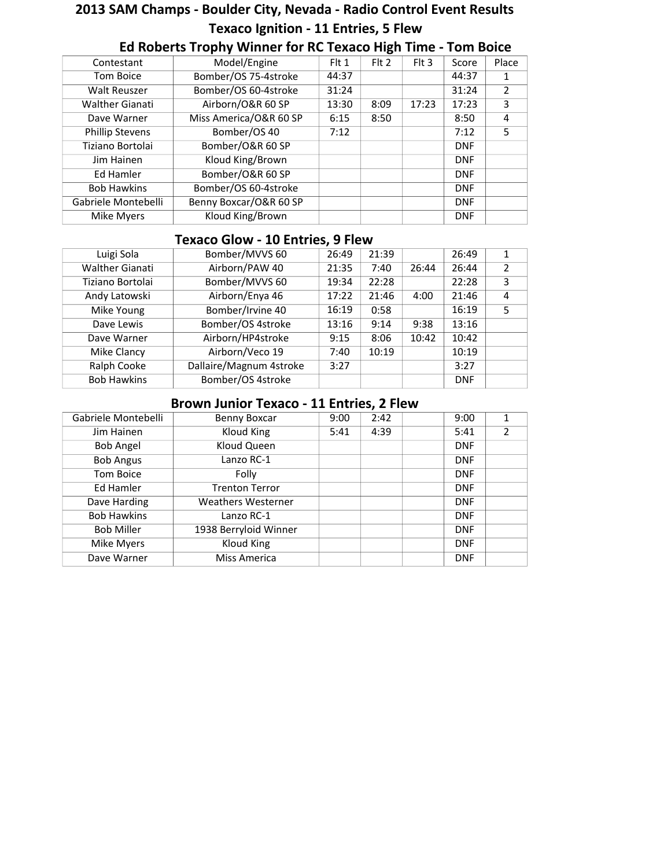# **2013 SAM Champs - Boulder City, Nevada - Radio Control Event Results Texaco Ignition - 11 Entries, 5 Flew**

| Contestant             | Model/Engine           | $F$ It 1 | $Fl$ Fit 2 | $Fl$ Flt 3 | Score      | Place          |
|------------------------|------------------------|----------|------------|------------|------------|----------------|
| Tom Boice              | Bomber/OS 75-4stroke   | 44:37    |            |            | 44:37      | 1              |
| <b>Walt Reuszer</b>    | Bomber/OS 60-4stroke   | 31:24    |            |            | 31:24      | $\overline{2}$ |
| <b>Walther Gianati</b> | Airborn/O&R 60 SP      | 13:30    | 8:09       | 17:23      | 17:23      | 3              |
| Dave Warner            | Miss America/O&R 60 SP | 6:15     | 8:50       |            | 8:50       | 4              |
| <b>Phillip Stevens</b> | Bomber/OS 40           | 7:12     |            |            | 7:12       | 5              |
| Tiziano Bortolai       | Bomber/O&R 60 SP       |          |            |            | <b>DNF</b> |                |
| Jim Hainen             | Kloud King/Brown       |          |            |            | <b>DNF</b> |                |
| Ed Hamler              | Bomber/O&R 60 SP       |          |            |            | <b>DNF</b> |                |
| <b>Bob Hawkins</b>     | Bomber/OS 60-4stroke   |          |            |            | <b>DNF</b> |                |
| Gabriele Montebelli    | Benny Boxcar/O&R 60 SP |          |            |            | <b>DNF</b> |                |
| Mike Myers             | Kloud King/Brown       |          |            |            | <b>DNF</b> |                |

#### **Ed Roberts Trophy Winner for RC Texaco High Time - Tom Boice**

#### **Texaco Glow - 10 Entries, 9 Flew**

| Luigi Sola             | Bomber/MVVS 60          | 26:49 | 21:39 |       | 26:49      | 1 |
|------------------------|-------------------------|-------|-------|-------|------------|---|
| <b>Walther Gianati</b> | Airborn/PAW 40          | 21:35 | 7:40  | 26:44 | 26:44      | 2 |
| Tiziano Bortolai       | Bomber/MVVS 60          | 19:34 | 22:28 |       | 22:28      | 3 |
| Andy Latowski          | Airborn/Enya 46         | 17:22 | 21:46 | 4:00  | 21:46      | 4 |
| Mike Young             | Bomber/Irvine 40        | 16:19 | 0:58  |       | 16:19      | 5 |
| Dave Lewis             | Bomber/OS 4stroke       | 13:16 | 9:14  | 9:38  | 13:16      |   |
| Dave Warner            | Airborn/HP4stroke       | 9:15  | 8:06  | 10:42 | 10:42      |   |
| Mike Clancy            | Airborn/Veco 19         | 7:40  | 10:19 |       | 10:19      |   |
| Ralph Cooke            | Dallaire/Magnum 4stroke | 3:27  |       |       | 3:27       |   |
| <b>Bob Hawkins</b>     | Bomber/OS 4stroke       |       |       |       | <b>DNF</b> |   |

#### **Brown Junior Texaco - 11 Entries, 2 Flew**

| Gabriele Montebelli | Benny Boxcar              | 9:00 | 2:42 | 9:00       | 1              |
|---------------------|---------------------------|------|------|------------|----------------|
| Jim Hainen          | Kloud King                | 5:41 | 4:39 | 5:41       | $\overline{2}$ |
| Bob Angel           | Kloud Queen               |      |      | <b>DNF</b> |                |
| <b>Bob Angus</b>    | Lanzo RC-1                |      |      | <b>DNF</b> |                |
| Tom Boice           | Folly                     |      |      | <b>DNF</b> |                |
| Ed Hamler           | <b>Trenton Terror</b>     |      |      | <b>DNF</b> |                |
| Dave Harding        | <b>Weathers Westerner</b> |      |      | <b>DNF</b> |                |
| <b>Bob Hawkins</b>  | Lanzo RC-1                |      |      | <b>DNF</b> |                |
| <b>Bob Miller</b>   | 1938 Berryloid Winner     |      |      | <b>DNF</b> |                |
| Mike Myers          | Kloud King                |      |      | <b>DNF</b> |                |
| Dave Warner         | Miss America              |      |      | <b>DNF</b> |                |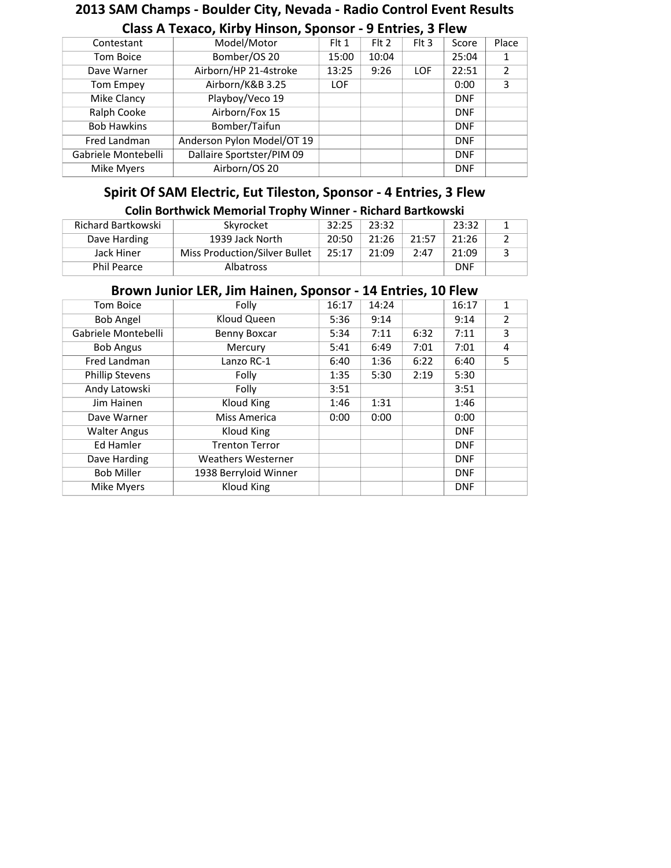# **2013 SAM Champs - Boulder City, Nevada - Radio Control Event Results**

| Contestant          | Model/Motor                | Flt 1      | Flt 2 | $F$ It 3   | Score      | Place          |
|---------------------|----------------------------|------------|-------|------------|------------|----------------|
| Tom Boice           | Bomber/OS 20               | 15:00      | 10:04 |            | 25:04      | 1              |
| Dave Warner         | Airborn/HP 21-4stroke      | 13:25      | 9:26  | <b>LOF</b> | 22:51      | $\overline{2}$ |
| Tom Empey           | Airborn/K&B 3.25           | <b>LOF</b> |       |            | 0:00       | 3              |
| Mike Clancy         | Playboy/Veco 19            |            |       |            | <b>DNF</b> |                |
| Ralph Cooke         | Airborn/Fox 15             |            |       |            | <b>DNF</b> |                |
| <b>Bob Hawkins</b>  | Bomber/Taifun              |            |       |            | <b>DNF</b> |                |
| Fred Landman        | Anderson Pylon Model/OT 19 |            |       |            | <b>DNF</b> |                |
| Gabriele Montebelli | Dallaire Sportster/PIM 09  |            |       |            | <b>DNF</b> |                |
| Mike Myers          | Airborn/OS 20              |            |       |            | <b>DNF</b> |                |

### **Class A Texaco, Kirby Hinson, Sponsor - 9 Entries, 3 Flew**

#### **Spirit Of SAM Electric, Eut Tileston, Sponsor - 4 Entries, 3 Flew**

#### **Colin Borthwick Memorial Trophy Winner - Richard Bartkowski**

| Richard Bartkowski | Skyrocket                     | 32:25 | 23:32 |       | 23:32      |  |
|--------------------|-------------------------------|-------|-------|-------|------------|--|
| Dave Harding       | 1939 Jack North               | 20:50 | 21:26 | 21:57 | 21:26      |  |
| Jack Hiner         | Miss Production/Silver Bullet | 25:17 | 21:09 | 2:47  | 21:09      |  |
| <b>Phil Pearce</b> | <b>Albatross</b>              |       |       |       | <b>DNF</b> |  |

#### **Brown Junior LER, Jim Hainen, Sponsor - 14 Entries, 10 Flew**

| Tom Boice              | Folly                     | 16:17 | 14:24 |      | 16:17      | 1              |
|------------------------|---------------------------|-------|-------|------|------------|----------------|
| <b>Bob Angel</b>       | Kloud Queen               | 5:36  | 9:14  |      | 9:14       | $\overline{2}$ |
| Gabriele Montebelli    | Benny Boxcar              | 5:34  | 7:11  | 6:32 | 7:11       | 3              |
| <b>Bob Angus</b>       | Mercury                   | 5:41  | 6:49  | 7:01 | 7:01       | 4              |
| Fred Landman           | Lanzo RC-1                | 6:40  | 1:36  | 6:22 | 6:40       | 5              |
| <b>Phillip Stevens</b> | Folly                     | 1:35  | 5:30  | 2:19 | 5:30       |                |
| Andy Latowski          | Folly                     | 3:51  |       |      | 3:51       |                |
| Jim Hainen             | Kloud King                | 1:46  | 1:31  |      | 1:46       |                |
| Dave Warner            | Miss America              | 0:00  | 0:00  |      | 0:00       |                |
| <b>Walter Angus</b>    | Kloud King                |       |       |      | <b>DNF</b> |                |
| Ed Hamler              | <b>Trenton Terror</b>     |       |       |      | <b>DNF</b> |                |
| Dave Harding           | <b>Weathers Westerner</b> |       |       |      | <b>DNF</b> |                |
| <b>Bob Miller</b>      | 1938 Berryloid Winner     |       |       |      | <b>DNF</b> |                |
| <b>Mike Myers</b>      | Kloud King                |       |       |      | <b>DNF</b> |                |